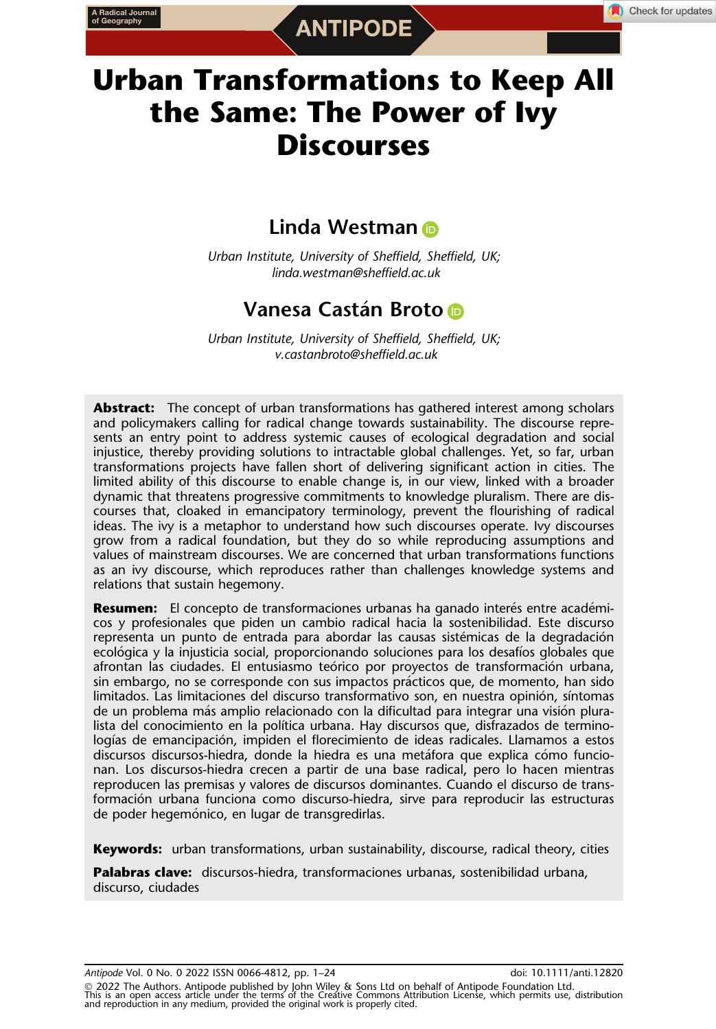# Urban Transformations to Keep All the Same: The Power of Ivy **Discourses**

# Li[n](https://orcid.org/0000-0003-4599-4996)da Westman **D**

Urban Institute, University of Sheffield, Sheffield, UK; linda.westman@sheffield.ac.uk

# Vanesa Castán Br[o](https://orcid.org/0000-0002-3175-9859)to **D**

Urban Institute, University of Sheffield, Sheffield, UK; v.castanbroto@sheffield.ac.uk

Abstract: The concept of urban transformations has gathered interest among scholars and policymakers calling for radical change towards sustainability. The discourse represents an entry point to address systemic causes of ecological degradation and social injustice, thereby providing solutions to intractable global challenges. Yet, so far, urban transformations projects have fallen short of delivering significant action in cities. The limited ability of this discourse to enable change is, in our view, linked with a broader dynamic that threatens progressive commitments to knowledge pluralism. There are discourses that, cloaked in emancipatory terminology, prevent the flourishing of radical ideas. The ivy is a metaphor to understand how such discourses operate. Ivy discourses grow from a radical foundation, but they do so while reproducing assumptions and values of mainstream discourses. We are concerned that urban transformations functions as an ivy discourse, which reproduces rather than challenges knowledge systems and relations that sustain hegemony.

Resumen: El concepto de transformaciones urbanas ha ganado interés entre académicos y profesionales que piden un cambio radical hacia la sostenibilidad. Este discurso representa un punto de entrada para abordar las causas sistemicas de la degradacion ecológica y la injusticia social, proporcionando soluciones para los desafíos globales que afrontan las ciudades. El entusiasmo teórico por proyectos de transformación urbana, sin embargo, no se corresponde con sus impactos practicos que, de momento, han sido limitados. Las limitaciones del discurso transformativo son, en nuestra opinión, síntomas de un problema mas amplio relacionado con la dificultad para integrar una vision plura lista del conocimiento en la política urbana. Hay discursos que, disfrazados de terminologías de emancipación, impiden el florecimiento de ideas radicales. Llamamos a estos discursos discursos-hiedra, donde la hiedra es una metáfora que explica cómo funcionan. Los discursos-hiedra crecen a partir de una base radical, pero lo hacen mientras reproducen las premisas y valores de discursos dominantes. Cuando el discurso de transformacion urbana funciona como discurso-hiedra, sirve para reproducir las estructuras de poder hegemónico, en lugar de transgredirlas.

**Keywords:** urban transformations, urban sustainability, discourse, radical theory, cities

Palabras clave: discursos-hiedra, transformaciones urbanas, sostenibilidad urbana, discurso, ciudades

Antipode Vol. 0 No. 0 2022 ISSN 0066-4812, pp. 1-24 doi: 10.1111/anti.12820

© 2022 The Authors. Antipode published by John Wiley & Sons Ltd on behalf of Antipode Foundation Ltd.<br>This is an open access article under the terms of the Creative Commons Attribution License, which permits use, distribut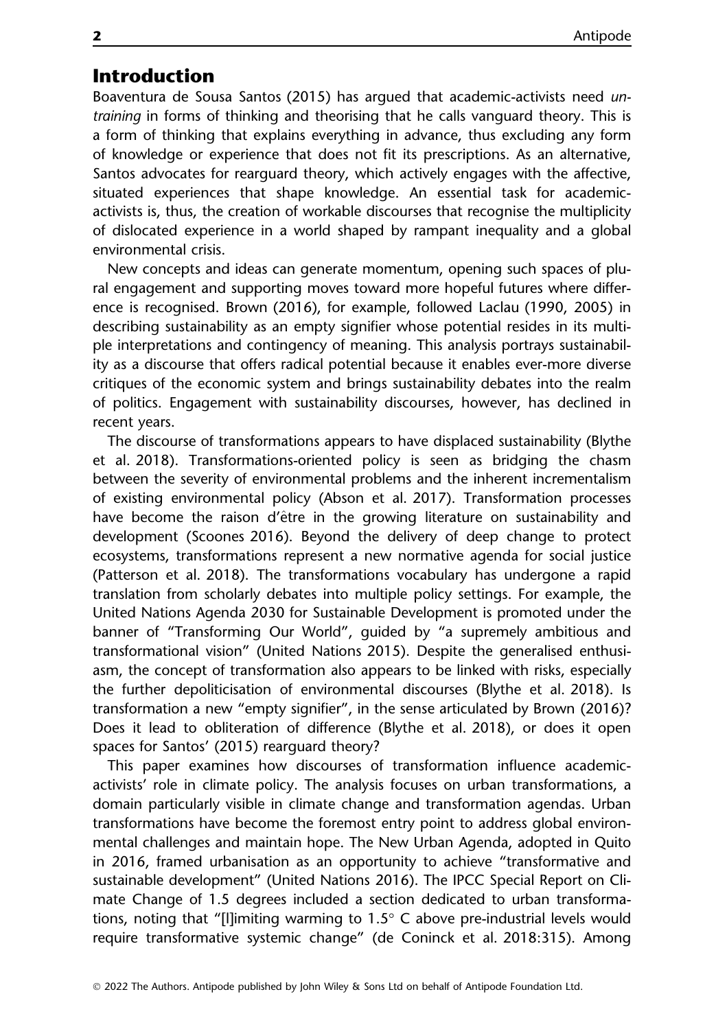# Introduction

Boaventura de Sousa Santos (2015) has argued that academic-activists need untraining in forms of thinking and theorising that he calls vanguard theory. This is a form of thinking that explains everything in advance, thus excluding any form of knowledge or experience that does not fit its prescriptions. As an alternative, Santos advocates for rearguard theory, which actively engages with the affective, situated experiences that shape knowledge. An essential task for academicactivists is, thus, the creation of workable discourses that recognise the multiplicity of dislocated experience in a world shaped by rampant inequality and a global environmental crisis.

New concepts and ideas can generate momentum, opening such spaces of plural engagement and supporting moves toward more hopeful futures where difference is recognised. Brown (2016), for example, followed Laclau (1990, 2005) in describing sustainability as an empty signifier whose potential resides in its multiple interpretations and contingency of meaning. This analysis portrays sustainability as a discourse that offers radical potential because it enables ever-more diverse critiques of the economic system and brings sustainability debates into the realm of politics. Engagement with sustainability discourses, however, has declined in recent years.

The discourse of transformations appears to have displaced sustainability (Blythe et al. 2018). Transformations-oriented policy is seen as bridging the chasm between the severity of environmental problems and the inherent incrementalism of existing environmental policy (Abson et al. 2017). Transformation processes have become the raison d'être in the growing literature on sustainability and development (Scoones 2016). Beyond the delivery of deep change to protect ecosystems, transformations represent a new normative agenda for social justice (Patterson et al. 2018). The transformations vocabulary has undergone a rapid translation from scholarly debates into multiple policy settings. For example, the United Nations Agenda 2030 for Sustainable Development is promoted under the banner of "Transforming Our World", guided by "a supremely ambitious and transformational vision" (United Nations 2015). Despite the generalised enthusiasm, the concept of transformation also appears to be linked with risks, especially the further depoliticisation of environmental discourses (Blythe et al. 2018). Is transformation a new "empty signifier", in the sense articulated by Brown (2016)? Does it lead to obliteration of difference (Blythe et al. 2018), or does it open spaces for Santos' (2015) rearguard theory?

This paper examines how discourses of transformation influence academicactivists' role in climate policy. The analysis focuses on urban transformations, a domain particularly visible in climate change and transformation agendas. Urban transformations have become the foremost entry point to address global environmental challenges and maintain hope. The New Urban Agenda, adopted in Quito in 2016, framed urbanisation as an opportunity to achieve "transformative and sustainable development" (United Nations 2016). The IPCC Special Report on Climate Change of 1.5 degrees included a section dedicated to urban transformations, noting that "[l]imiting warming to 1.5° C above pre-industrial levels would require transformative systemic change" (de Coninck et al. 2018:315). Among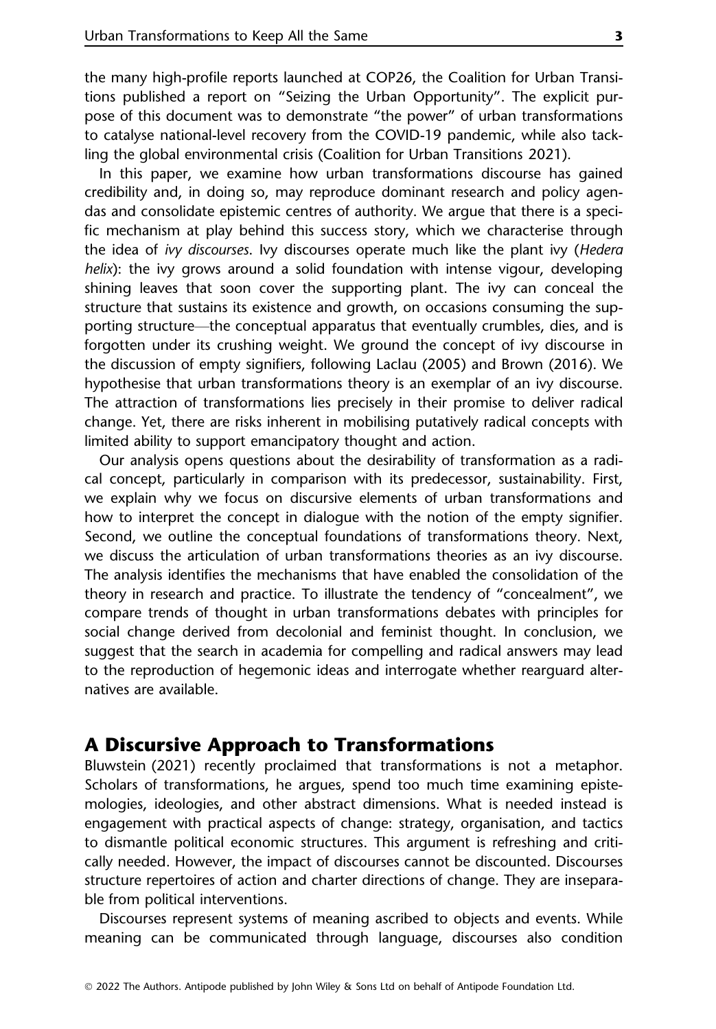the many high-profile reports launched at COP26, the Coalition for Urban Transitions published a report on "Seizing the Urban Opportunity". The explicit purpose of this document was to demonstrate "the power" of urban transformations to catalyse national-level recovery from the COVID-19 pandemic, while also tackling the global environmental crisis (Coalition for Urban Transitions 2021).

In this paper, we examine how urban transformations discourse has gained credibility and, in doing so, may reproduce dominant research and policy agendas and consolidate epistemic centres of authority. We argue that there is a specific mechanism at play behind this success story, which we characterise through the idea of ivy discourses. Ivy discourses operate much like the plant ivy (Hedera helix): the ivy grows around a solid foundation with intense vigour, developing shining leaves that soon cover the supporting plant. The ivy can conceal the structure that sustains its existence and growth, on occasions consuming the supporting structure—the conceptual apparatus that eventually crumbles, dies, and is forgotten under its crushing weight. We ground the concept of ivy discourse in the discussion of empty signifiers, following Laclau (2005) and Brown (2016). We hypothesise that urban transformations theory is an exemplar of an ivy discourse. The attraction of transformations lies precisely in their promise to deliver radical change. Yet, there are risks inherent in mobilising putatively radical concepts with limited ability to support emancipatory thought and action.

Our analysis opens questions about the desirability of transformation as a radical concept, particularly in comparison with its predecessor, sustainability. First, we explain why we focus on discursive elements of urban transformations and how to interpret the concept in dialogue with the notion of the empty signifier. Second, we outline the conceptual foundations of transformations theory. Next, we discuss the articulation of urban transformations theories as an ivy discourse. The analysis identifies the mechanisms that have enabled the consolidation of the theory in research and practice. To illustrate the tendency of "concealment", we compare trends of thought in urban transformations debates with principles for social change derived from decolonial and feminist thought. In conclusion, we suggest that the search in academia for compelling and radical answers may lead to the reproduction of hegemonic ideas and interrogate whether rearguard alternatives are available.

### A Discursive Approach to Transformations

Bluwstein (2021) recently proclaimed that transformations is not a metaphor. Scholars of transformations, he argues, spend too much time examining epistemologies, ideologies, and other abstract dimensions. What is needed instead is engagement with practical aspects of change: strategy, organisation, and tactics to dismantle political economic structures. This argument is refreshing and critically needed. However, the impact of discourses cannot be discounted. Discourses structure repertoires of action and charter directions of change. They are inseparable from political interventions.

Discourses represent systems of meaning ascribed to objects and events. While meaning can be communicated through language, discourses also condition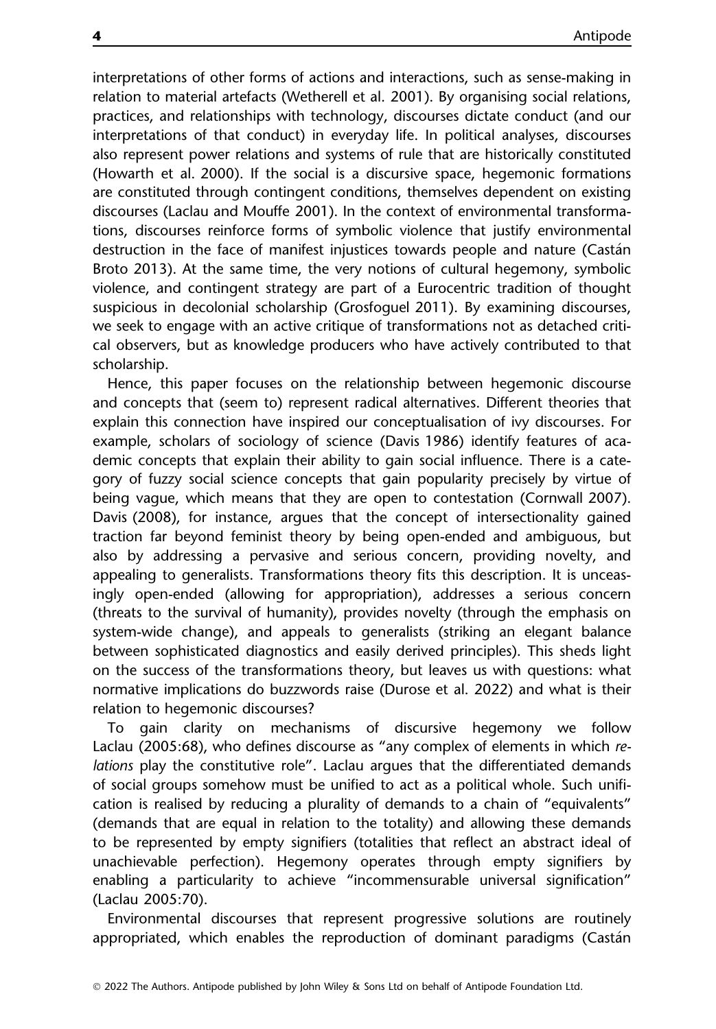interpretations of other forms of actions and interactions, such as sense-making in relation to material artefacts (Wetherell et al. 2001). By organising social relations, practices, and relationships with technology, discourses dictate conduct (and our interpretations of that conduct) in everyday life. In political analyses, discourses also represent power relations and systems of rule that are historically constituted (Howarth et al. 2000). If the social is a discursive space, hegemonic formations are constituted through contingent conditions, themselves dependent on existing discourses (Laclau and Mouffe 2001). In the context of environmental transformations, discourses reinforce forms of symbolic violence that justify environmental destruction in the face of manifest injustices towards people and nature (Castan Broto 2013). At the same time, the very notions of cultural hegemony, symbolic violence, and contingent strategy are part of a Eurocentric tradition of thought suspicious in decolonial scholarship (Grosfoguel 2011). By examining discourses, we seek to engage with an active critique of transformations not as detached critical observers, but as knowledge producers who have actively contributed to that scholarship.

Hence, this paper focuses on the relationship between hegemonic discourse and concepts that (seem to) represent radical alternatives. Different theories that explain this connection have inspired our conceptualisation of ivy discourses. For example, scholars of sociology of science (Davis 1986) identify features of academic concepts that explain their ability to gain social influence. There is a category of fuzzy social science concepts that gain popularity precisely by virtue of being vague, which means that they are open to contestation (Cornwall 2007). Davis (2008), for instance, argues that the concept of intersectionality gained traction far beyond feminist theory by being open-ended and ambiguous, but also by addressing a pervasive and serious concern, providing novelty, and appealing to generalists. Transformations theory fits this description. It is unceasingly open-ended (allowing for appropriation), addresses a serious concern (threats to the survival of humanity), provides novelty (through the emphasis on system-wide change), and appeals to generalists (striking an elegant balance between sophisticated diagnostics and easily derived principles). This sheds light on the success of the transformations theory, but leaves us with questions: what normative implications do buzzwords raise (Durose et al. 2022) and what is their relation to hegemonic discourses?

To gain clarity on mechanisms of discursive hegemony we follow Laclau (2005:68), who defines discourse as "any complex of elements in which relations play the constitutive role". Laclau argues that the differentiated demands of social groups somehow must be unified to act as a political whole. Such unification is realised by reducing a plurality of demands to a chain of "equivalents" (demands that are equal in relation to the totality) and allowing these demands to be represented by empty signifiers (totalities that reflect an abstract ideal of unachievable perfection). Hegemony operates through empty signifiers by enabling a particularity to achieve "incommensurable universal signification" (Laclau 2005:70).

Environmental discourses that represent progressive solutions are routinely appropriated, which enables the reproduction of dominant paradigms (Castan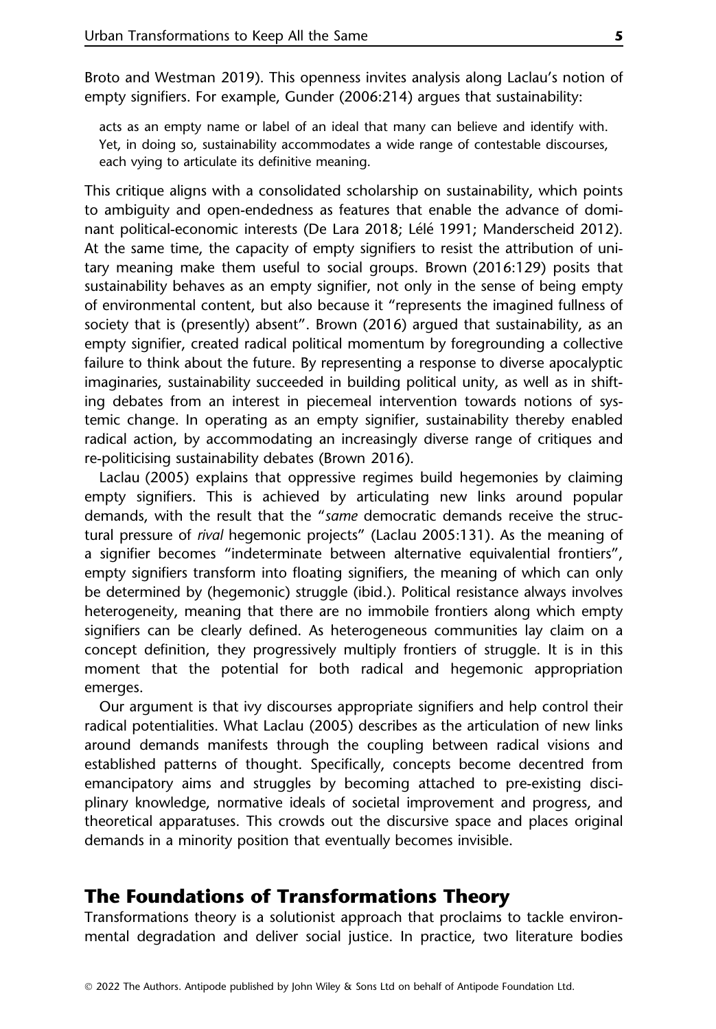Broto and Westman 2019). This openness invites analysis along Laclau's notion of empty signifiers. For example, Gunder (2006:214) argues that sustainability:

acts as an empty name or label of an ideal that many can believe and identify with. Yet, in doing so, sustainability accommodates a wide range of contestable discourses, each vying to articulate its definitive meaning.

This critique aligns with a consolidated scholarship on sustainability, which points to ambiguity and open-endedness as features that enable the advance of dominant political-economic interests (De Lara 2018; Lélé 1991; Manderscheid 2012). At the same time, the capacity of empty signifiers to resist the attribution of unitary meaning make them useful to social groups. Brown (2016:129) posits that sustainability behaves as an empty signifier, not only in the sense of being empty of environmental content, but also because it "represents the imagined fullness of society that is (presently) absent". Brown (2016) argued that sustainability, as an empty signifier, created radical political momentum by foregrounding a collective failure to think about the future. By representing a response to diverse apocalyptic imaginaries, sustainability succeeded in building political unity, as well as in shifting debates from an interest in piecemeal intervention towards notions of systemic change. In operating as an empty signifier, sustainability thereby enabled radical action, by accommodating an increasingly diverse range of critiques and re-politicising sustainability debates (Brown 2016).

Laclau (2005) explains that oppressive regimes build hegemonies by claiming empty signifiers. This is achieved by articulating new links around popular demands, with the result that the "same democratic demands receive the structural pressure of rival hegemonic projects" (Laclau 2005:131). As the meaning of a signifier becomes "indeterminate between alternative equivalential frontiers", empty signifiers transform into floating signifiers, the meaning of which can only be determined by (hegemonic) struggle (ibid.). Political resistance always involves heterogeneity, meaning that there are no immobile frontiers along which empty signifiers can be clearly defined. As heterogeneous communities lay claim on a concept definition, they progressively multiply frontiers of struggle. It is in this moment that the potential for both radical and hegemonic appropriation emerges.

Our argument is that ivy discourses appropriate signifiers and help control their radical potentialities. What Laclau (2005) describes as the articulation of new links around demands manifests through the coupling between radical visions and established patterns of thought. Specifically, concepts become decentred from emancipatory aims and struggles by becoming attached to pre-existing disciplinary knowledge, normative ideals of societal improvement and progress, and theoretical apparatuses. This crowds out the discursive space and places original demands in a minority position that eventually becomes invisible.

### The Foundations of Transformations Theory

Transformations theory is a solutionist approach that proclaims to tackle environmental degradation and deliver social justice. In practice, two literature bodies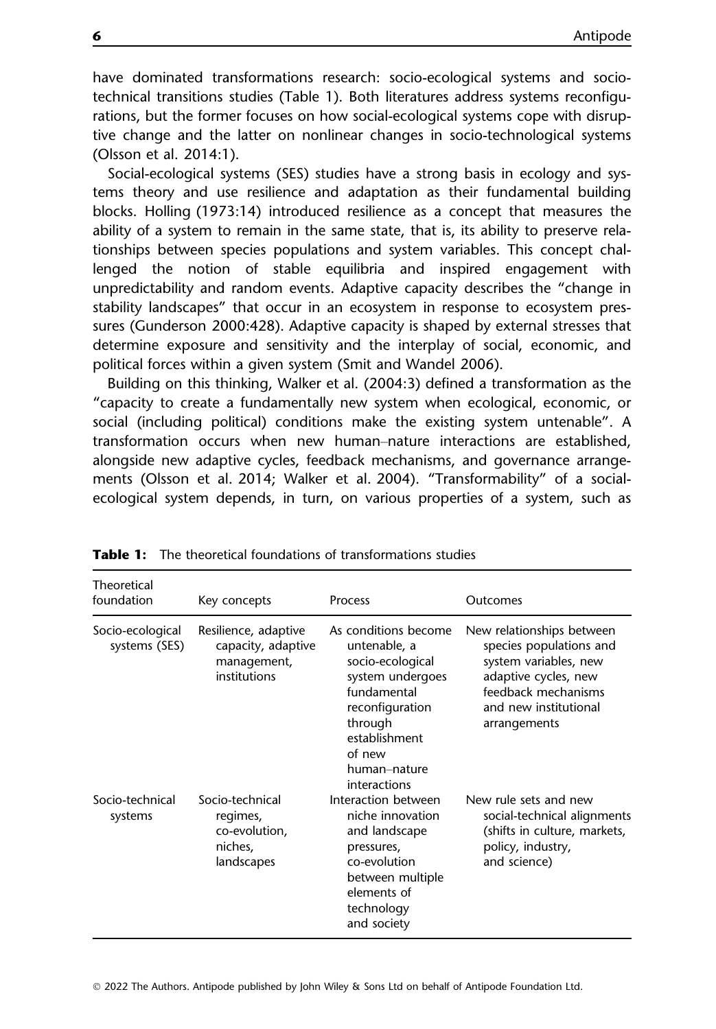have dominated transformations research: socio-ecological systems and sociotechnical transitions studies (Table 1). Both literatures address systems reconfigurations, but the former focuses on how social-ecological systems cope with disruptive change and the latter on nonlinear changes in socio-technological systems (Olsson et al. 2014:1).

Social-ecological systems (SES) studies have a strong basis in ecology and systems theory and use resilience and adaptation as their fundamental building blocks. Holling (1973:14) introduced resilience as a concept that measures the ability of a system to remain in the same state, that is, its ability to preserve relationships between species populations and system variables. This concept challenged the notion of stable equilibria and inspired engagement with unpredictability and random events. Adaptive capacity describes the "change in stability landscapes" that occur in an ecosystem in response to ecosystem pressures (Gunderson 2000:428). Adaptive capacity is shaped by external stresses that determine exposure and sensitivity and the interplay of social, economic, and political forces within a given system (Smit and Wandel 2006).

Building on this thinking, Walker et al. (2004:3) defined a transformation as the "capacity to create a fundamentally new system when ecological, economic, or social (including political) conditions make the existing system untenable". A transformation occurs when new human–nature interactions are established, alongside new adaptive cycles, feedback mechanisms, and governance arrangements (Olsson et al. 2014; Walker et al. 2004). "Transformability" of a socialecological system depends, in turn, on various properties of a system, such as

| Theoretical<br>foundation         | Key concepts                                                              | <b>Process</b>                                                                                                                                                                       | Outcomes                                                                                                                                                              |
|-----------------------------------|---------------------------------------------------------------------------|--------------------------------------------------------------------------------------------------------------------------------------------------------------------------------------|-----------------------------------------------------------------------------------------------------------------------------------------------------------------------|
| Socio-ecological<br>systems (SES) | Resilience, adaptive<br>capacity, adaptive<br>management,<br>institutions | As conditions become<br>untenable, a<br>socio-ecological<br>system undergoes<br>fundamental<br>reconfiguration<br>through<br>establishment<br>of new<br>human-nature<br>interactions | New relationships between<br>species populations and<br>system variables, new<br>adaptive cycles, new<br>feedback mechanisms<br>and new institutional<br>arrangements |
| Socio-technical<br>systems        | Socio-technical<br>regimes,<br>co-evolution,<br>niches,<br>landscapes     | Interaction between<br>niche innovation<br>and landscape<br>pressures,<br>co-evolution<br>between multiple<br>elements of<br>technology<br>and society                               | New rule sets and new<br>social-technical alignments<br>(shifts in culture, markets,<br>policy, industry,<br>and science)                                             |

Table 1: The theoretical foundations of transformations studies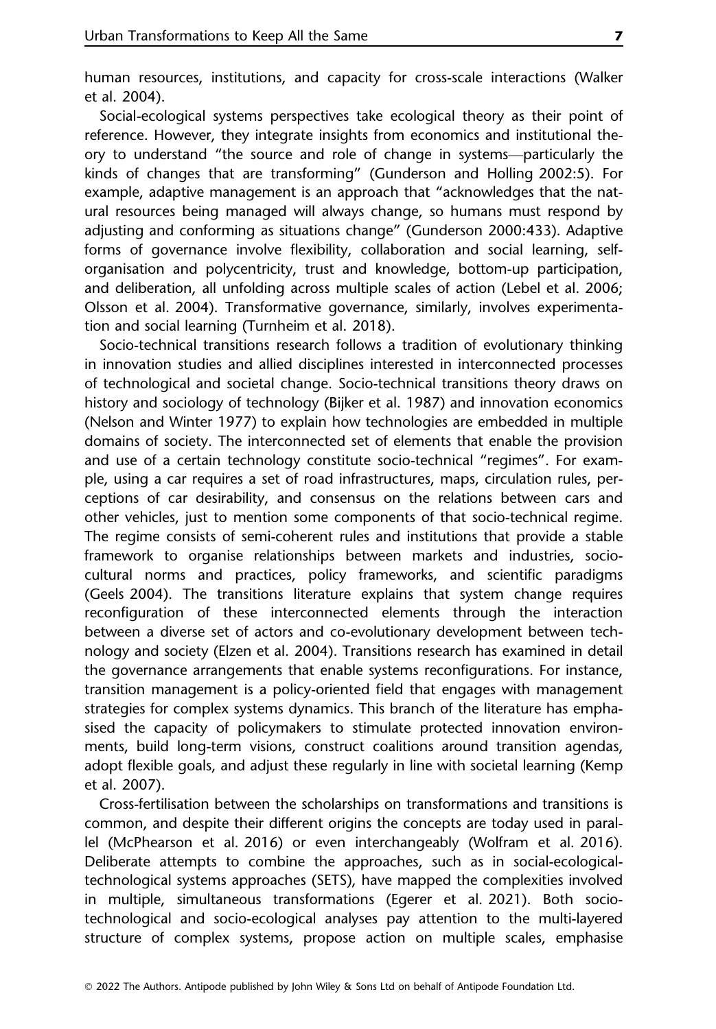human resources, institutions, and capacity for cross-scale interactions (Walker et al. 2004).

Social-ecological systems perspectives take ecological theory as their point of reference. However, they integrate insights from economics and institutional theory to understand "the source and role of change in systems—particularly the kinds of changes that are transforming" (Gunderson and Holling 2002:5). For example, adaptive management is an approach that "acknowledges that the natural resources being managed will always change, so humans must respond by adjusting and conforming as situations change" (Gunderson 2000:433). Adaptive forms of governance involve flexibility, collaboration and social learning, selforganisation and polycentricity, trust and knowledge, bottom-up participation, and deliberation, all unfolding across multiple scales of action (Lebel et al. 2006; Olsson et al. 2004). Transformative governance, similarly, involves experimentation and social learning (Turnheim et al. 2018).

Socio-technical transitions research follows a tradition of evolutionary thinking in innovation studies and allied disciplines interested in interconnected processes of technological and societal change. Socio-technical transitions theory draws on history and sociology of technology (Bijker et al. 1987) and innovation economics (Nelson and Winter 1977) to explain how technologies are embedded in multiple domains of society. The interconnected set of elements that enable the provision and use of a certain technology constitute socio-technical "regimes". For example, using a car requires a set of road infrastructures, maps, circulation rules, perceptions of car desirability, and consensus on the relations between cars and other vehicles, just to mention some components of that socio-technical regime. The regime consists of semi-coherent rules and institutions that provide a stable framework to organise relationships between markets and industries, sociocultural norms and practices, policy frameworks, and scientific paradigms (Geels 2004). The transitions literature explains that system change requires reconfiguration of these interconnected elements through the interaction between a diverse set of actors and co-evolutionary development between technology and society (Elzen et al. 2004). Transitions research has examined in detail the governance arrangements that enable systems reconfigurations. For instance, transition management is a policy-oriented field that engages with management strategies for complex systems dynamics. This branch of the literature has emphasised the capacity of policymakers to stimulate protected innovation environments, build long-term visions, construct coalitions around transition agendas, adopt flexible goals, and adjust these regularly in line with societal learning (Kemp et al. 2007).

Cross-fertilisation between the scholarships on transformations and transitions is common, and despite their different origins the concepts are today used in parallel (McPhearson et al. 2016) or even interchangeably (Wolfram et al. 2016). Deliberate attempts to combine the approaches, such as in social-ecologicaltechnological systems approaches (SETS), have mapped the complexities involved in multiple, simultaneous transformations (Egerer et al. 2021). Both sociotechnological and socio-ecological analyses pay attention to the multi-layered structure of complex systems, propose action on multiple scales, emphasise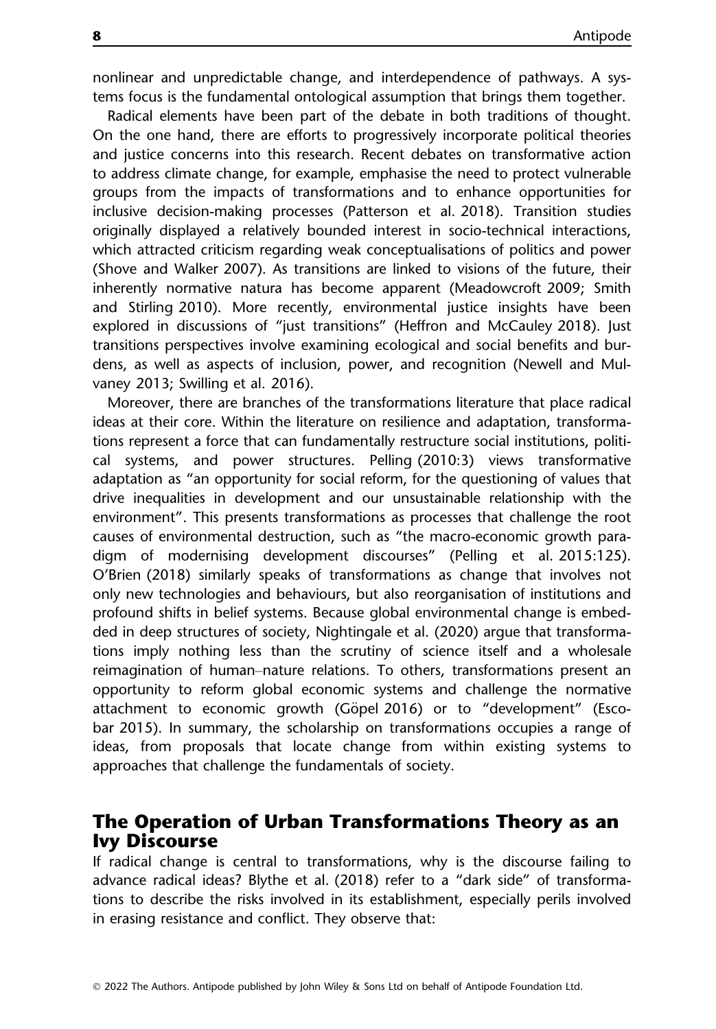nonlinear and unpredictable change, and interdependence of pathways. A systems focus is the fundamental ontological assumption that brings them together.

Radical elements have been part of the debate in both traditions of thought. On the one hand, there are efforts to progressively incorporate political theories and justice concerns into this research. Recent debates on transformative action to address climate change, for example, emphasise the need to protect vulnerable groups from the impacts of transformations and to enhance opportunities for inclusive decision-making processes (Patterson et al. 2018). Transition studies originally displayed a relatively bounded interest in socio-technical interactions, which attracted criticism regarding weak conceptualisations of politics and power (Shove and Walker 2007). As transitions are linked to visions of the future, their inherently normative natura has become apparent (Meadowcroft 2009; Smith and Stirling 2010). More recently, environmental justice insights have been explored in discussions of "just transitions" (Heffron and McCauley 2018). Just transitions perspectives involve examining ecological and social benefits and burdens, as well as aspects of inclusion, power, and recognition (Newell and Mulvaney 2013; Swilling et al. 2016).

Moreover, there are branches of the transformations literature that place radical ideas at their core. Within the literature on resilience and adaptation, transformations represent a force that can fundamentally restructure social institutions, political systems, and power structures. Pelling (2010:3) views transformative adaptation as "an opportunity for social reform, for the questioning of values that drive inequalities in development and our unsustainable relationship with the environment". This presents transformations as processes that challenge the root causes of environmental destruction, such as "the macro-economic growth paradigm of modernising development discourses" (Pelling et al. 2015:125). O'Brien (2018) similarly speaks of transformations as change that involves not only new technologies and behaviours, but also reorganisation of institutions and profound shifts in belief systems. Because global environmental change is embedded in deep structures of society, Nightingale et al. (2020) argue that transformations imply nothing less than the scrutiny of science itself and a wholesale reimagination of human–nature relations. To others, transformations present an opportunity to reform global economic systems and challenge the normative attachment to economic growth (Göpel 2016) or to "development" (Escobar 2015). In summary, the scholarship on transformations occupies a range of ideas, from proposals that locate change from within existing systems to approaches that challenge the fundamentals of society.

# The Operation of Urban Transformations Theory as an Ivy Discourse

If radical change is central to transformations, why is the discourse failing to advance radical ideas? Blythe et al. (2018) refer to a "dark side" of transformations to describe the risks involved in its establishment, especially perils involved in erasing resistance and conflict. They observe that: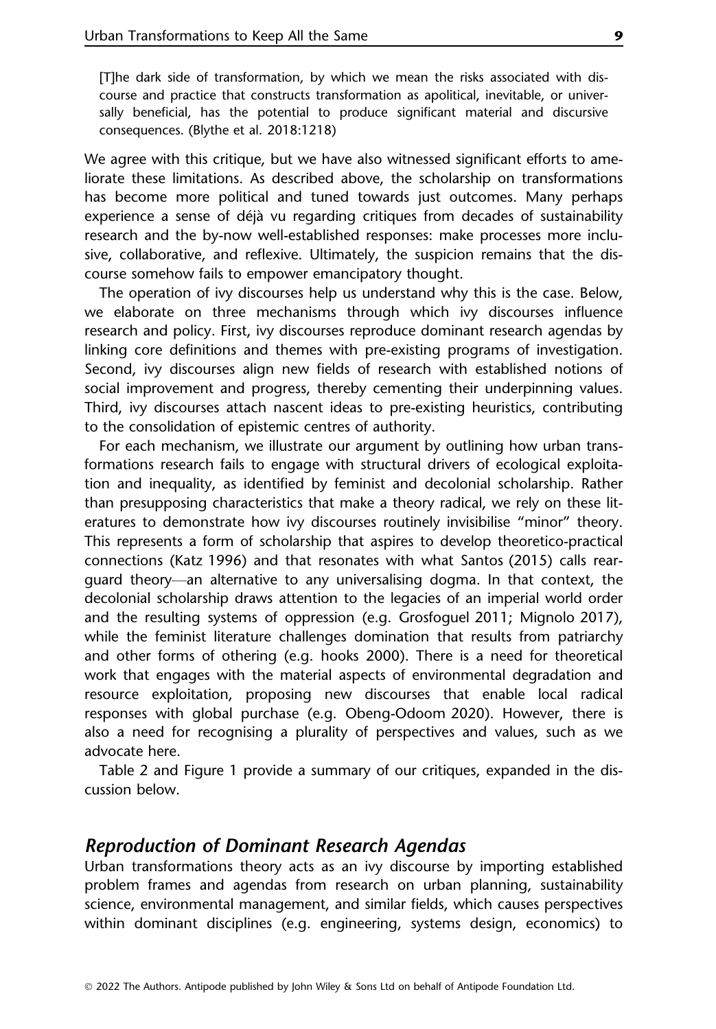[T]he dark side of transformation, by which we mean the risks associated with discourse and practice that constructs transformation as apolitical, inevitable, or universally beneficial, has the potential to produce significant material and discursive consequences. (Blythe et al. 2018:1218)

We agree with this critique, but we have also witnessed significant efforts to ameliorate these limitations. As described above, the scholarship on transformations has become more political and tuned towards just outcomes. Many perhaps experience a sense of déjà vu regarding critiques from decades of sustainability research and the by-now well-established responses: make processes more inclusive, collaborative, and reflexive. Ultimately, the suspicion remains that the discourse somehow fails to empower emancipatory thought.

The operation of ivy discourses help us understand why this is the case. Below, we elaborate on three mechanisms through which ivy discourses influence research and policy. First, ivy discourses reproduce dominant research agendas by linking core definitions and themes with pre-existing programs of investigation. Second, ivy discourses align new fields of research with established notions of social improvement and progress, thereby cementing their underpinning values. Third, ivy discourses attach nascent ideas to pre-existing heuristics, contributing to the consolidation of epistemic centres of authority.

For each mechanism, we illustrate our argument by outlining how urban transformations research fails to engage with structural drivers of ecological exploitation and inequality, as identified by feminist and decolonial scholarship. Rather than presupposing characteristics that make a theory radical, we rely on these literatures to demonstrate how ivy discourses routinely invisibilise "minor" theory. This represents a form of scholarship that aspires to develop theoretico-practical connections (Katz 1996) and that resonates with what Santos (2015) calls rearguard theory—an alternative to any universalising dogma. In that context, the decolonial scholarship draws attention to the legacies of an imperial world order and the resulting systems of oppression (e.g. Grosfoguel 2011; Mignolo 2017), while the feminist literature challenges domination that results from patriarchy and other forms of othering (e.g. hooks 2000). There is a need for theoretical work that engages with the material aspects of environmental degradation and resource exploitation, proposing new discourses that enable local radical responses with global purchase (e.g. Obeng-Odoom 2020). However, there is also a need for recognising a plurality of perspectives and values, such as we advocate here.

Table 2 and Figure 1 provide a summary of our critiques, expanded in the discussion below.

#### Reproduction of Dominant Research Agendas

Urban transformations theory acts as an ivy discourse by importing established problem frames and agendas from research on urban planning, sustainability science, environmental management, and similar fields, which causes perspectives within dominant disciplines (e.g. engineering, systems design, economics) to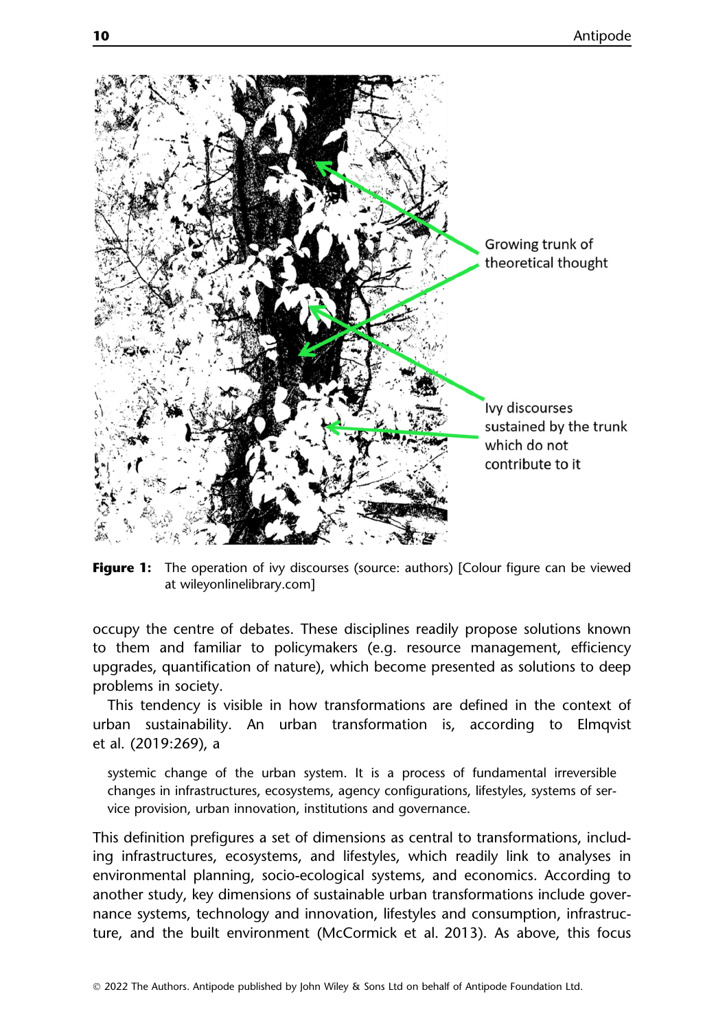

Figure 1: The operation of ivy discourses (source: authors) [Colour figure can be viewed at [wileyonlinelibrary.com\]](http://wileyonlinelibrary.)

occupy the centre of debates. These disciplines readily propose solutions known to them and familiar to policymakers (e.g. resource management, efficiency upgrades, quantification of nature), which become presented as solutions to deep problems in society.

This tendency is visible in how transformations are defined in the context of urban sustainability. An urban transformation is, according to Elmqvist et al. (2019:269), a

systemic change of the urban system. It is a process of fundamental irreversible changes in infrastructures, ecosystems, agency configurations, lifestyles, systems of service provision, urban innovation, institutions and governance.

This definition prefigures a set of dimensions as central to transformations, including infrastructures, ecosystems, and lifestyles, which readily link to analyses in environmental planning, socio-ecological systems, and economics. According to another study, key dimensions of sustainable urban transformations include governance systems, technology and innovation, lifestyles and consumption, infrastructure, and the built environment (McCormick et al. 2013). As above, this focus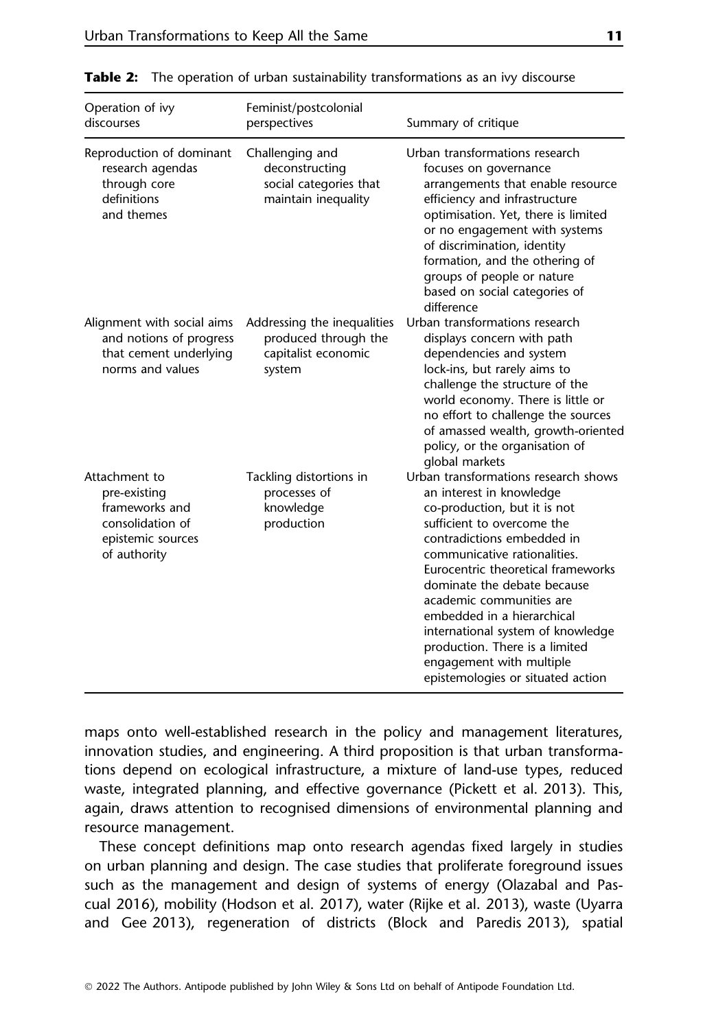| Operation of ivy<br>discourses                                                                           | Feminist/postcolonial<br>perspectives                                                | Summary of critique                                                                                                                                                                                                                                                                                                                                                                                                                                                 |
|----------------------------------------------------------------------------------------------------------|--------------------------------------------------------------------------------------|---------------------------------------------------------------------------------------------------------------------------------------------------------------------------------------------------------------------------------------------------------------------------------------------------------------------------------------------------------------------------------------------------------------------------------------------------------------------|
| Reproduction of dominant<br>research agendas<br>through core<br>definitions<br>and themes                | Challenging and<br>deconstructing<br>social categories that<br>maintain inequality   | Urban transformations research<br>focuses on governance<br>arrangements that enable resource<br>efficiency and infrastructure<br>optimisation. Yet, there is limited<br>or no engagement with systems<br>of discrimination, identity<br>formation, and the othering of<br>groups of people or nature<br>based on social categories of<br>difference                                                                                                                 |
| Alignment with social aims<br>and notions of progress<br>that cement underlying<br>norms and values      | Addressing the inequalities<br>produced through the<br>capitalist economic<br>system | Urban transformations research<br>displays concern with path<br>dependencies and system<br>lock-ins, but rarely aims to<br>challenge the structure of the<br>world economy. There is little or<br>no effort to challenge the sources<br>of amassed wealth, growth-oriented<br>policy, or the organisation of<br>global markets                                                                                                                                      |
| Attachment to<br>pre-existing<br>frameworks and<br>consolidation of<br>epistemic sources<br>of authority | Tackling distortions in<br>processes of<br>knowledge<br>production                   | Urban transformations research shows<br>an interest in knowledge<br>co-production, but it is not<br>sufficient to overcome the<br>contradictions embedded in<br>communicative rationalities.<br>Eurocentric theoretical frameworks<br>dominate the debate because<br>academic communities are<br>embedded in a hierarchical<br>international system of knowledge<br>production. There is a limited<br>engagement with multiple<br>epistemologies or situated action |

**Table 2:** The operation of urban sustainability transformations as an ivy discourse

maps onto well-established research in the policy and management literatures, innovation studies, and engineering. A third proposition is that urban transformations depend on ecological infrastructure, a mixture of land-use types, reduced waste, integrated planning, and effective governance (Pickett et al. 2013). This, again, draws attention to recognised dimensions of environmental planning and resource management.

These concept definitions map onto research agendas fixed largely in studies on urban planning and design. The case studies that proliferate foreground issues such as the management and design of systems of energy (Olazabal and Pascual 2016), mobility (Hodson et al. 2017), water (Rijke et al. 2013), waste (Uyarra and Gee 2013), regeneration of districts (Block and Paredis 2013), spatial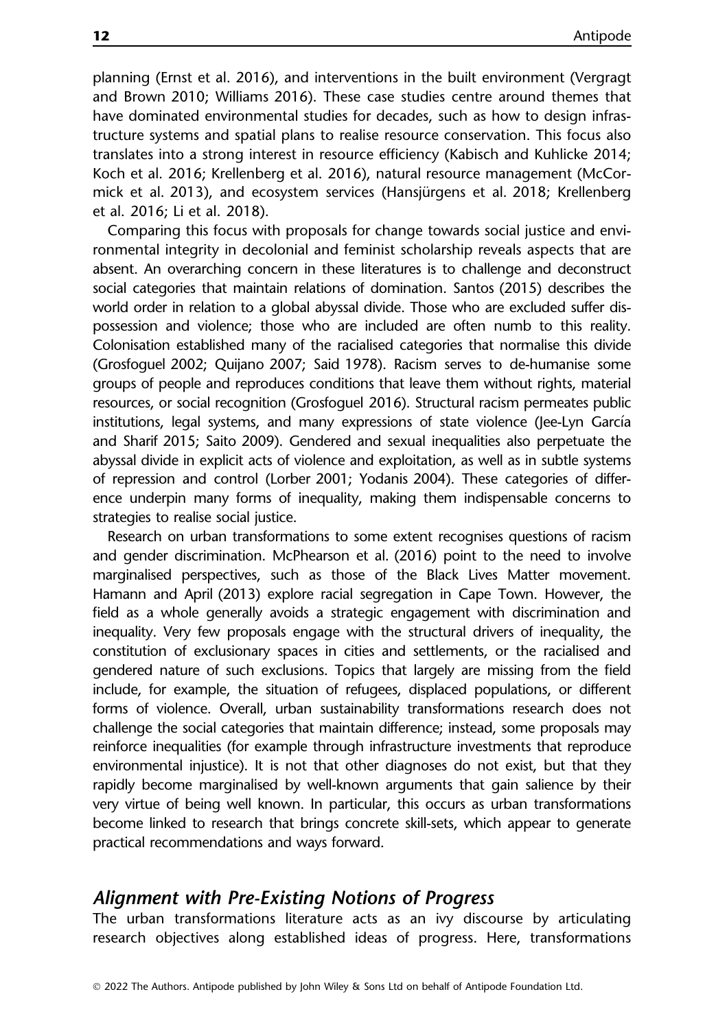planning (Ernst et al. 2016), and interventions in the built environment (Vergragt and Brown 2010; Williams 2016). These case studies centre around themes that have dominated environmental studies for decades, such as how to design infrastructure systems and spatial plans to realise resource conservation. This focus also translates into a strong interest in resource efficiency (Kabisch and Kuhlicke 2014; Koch et al. 2016; Krellenberg et al. 2016), natural resource management (McCormick et al. 2013), and ecosystem services (Hansjürgens et al. 2018; Krellenberg et al. 2016; Li et al. 2018).

Comparing this focus with proposals for change towards social justice and environmental integrity in decolonial and feminist scholarship reveals aspects that are absent. An overarching concern in these literatures is to challenge and deconstruct social categories that maintain relations of domination. Santos (2015) describes the world order in relation to a global abyssal divide. Those who are excluded suffer dispossession and violence; those who are included are often numb to this reality. Colonisation established many of the racialised categories that normalise this divide (Grosfoguel 2002; Quijano 2007; Said 1978). Racism serves to de-humanise some groups of people and reproduces conditions that leave them without rights, material resources, or social recognition (Grosfoguel 2016). Structural racism permeates public institutions, legal systems, and many expressions of state violence (Jee-Lyn García and Sharif 2015; Saito 2009). Gendered and sexual inequalities also perpetuate the abyssal divide in explicit acts of violence and exploitation, as well as in subtle systems of repression and control (Lorber 2001; Yodanis 2004). These categories of difference underpin many forms of inequality, making them indispensable concerns to strategies to realise social justice.

Research on urban transformations to some extent recognises questions of racism and gender discrimination. McPhearson et al. (2016) point to the need to involve marginalised perspectives, such as those of the Black Lives Matter movement. Hamann and April (2013) explore racial segregation in Cape Town. However, the field as a whole generally avoids a strategic engagement with discrimination and inequality. Very few proposals engage with the structural drivers of inequality, the constitution of exclusionary spaces in cities and settlements, or the racialised and gendered nature of such exclusions. Topics that largely are missing from the field include, for example, the situation of refugees, displaced populations, or different forms of violence. Overall, urban sustainability transformations research does not challenge the social categories that maintain difference; instead, some proposals may reinforce inequalities (for example through infrastructure investments that reproduce environmental injustice). It is not that other diagnoses do not exist, but that they rapidly become marginalised by well-known arguments that gain salience by their very virtue of being well known. In particular, this occurs as urban transformations become linked to research that brings concrete skill-sets, which appear to generate practical recommendations and ways forward.

#### Alignment with Pre-Existing Notions of Progress

The urban transformations literature acts as an ivy discourse by articulating research objectives along established ideas of progress. Here, transformations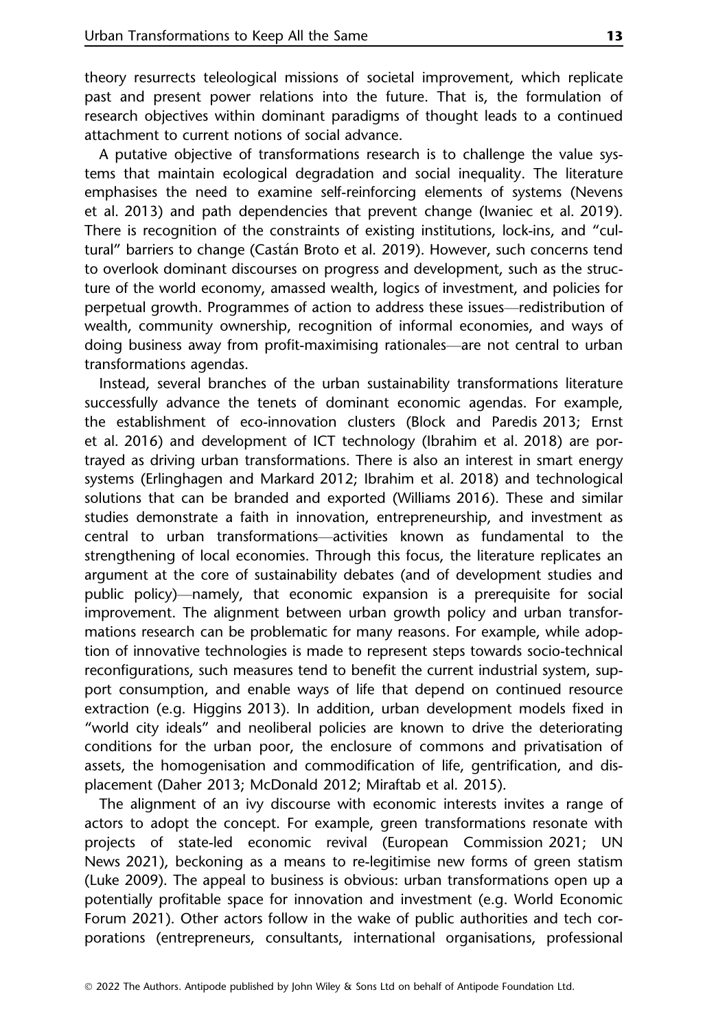theory resurrects teleological missions of societal improvement, which replicate past and present power relations into the future. That is, the formulation of research objectives within dominant paradigms of thought leads to a continued attachment to current notions of social advance.

A putative objective of transformations research is to challenge the value systems that maintain ecological degradation and social inequality. The literature emphasises the need to examine self-reinforcing elements of systems (Nevens et al. 2013) and path dependencies that prevent change (Iwaniec et al. 2019). There is recognition of the constraints of existing institutions, lock-ins, and "cultural" barriers to change (Castan Broto et al. 2019). However, such concerns tend to overlook dominant discourses on progress and development, such as the structure of the world economy, amassed wealth, logics of investment, and policies for perpetual growth. Programmes of action to address these issues—redistribution of wealth, community ownership, recognition of informal economies, and ways of doing business away from profit-maximising rationales—are not central to urban transformations agendas.

Instead, several branches of the urban sustainability transformations literature successfully advance the tenets of dominant economic agendas. For example, the establishment of eco-innovation clusters (Block and Paredis 2013; Ernst et al. 2016) and development of ICT technology (Ibrahim et al. 2018) are portrayed as driving urban transformations. There is also an interest in smart energy systems (Erlinghagen and Markard 2012; Ibrahim et al. 2018) and technological solutions that can be branded and exported (Williams 2016). These and similar studies demonstrate a faith in innovation, entrepreneurship, and investment as central to urban transformations—activities known as fundamental to the strengthening of local economies. Through this focus, the literature replicates an argument at the core of sustainability debates (and of development studies and public policy)—namely, that economic expansion is a prerequisite for social improvement. The alignment between urban growth policy and urban transformations research can be problematic for many reasons. For example, while adoption of innovative technologies is made to represent steps towards socio-technical reconfigurations, such measures tend to benefit the current industrial system, support consumption, and enable ways of life that depend on continued resource extraction (e.g. Higgins 2013). In addition, urban development models fixed in "world city ideals" and neoliberal policies are known to drive the deteriorating conditions for the urban poor, the enclosure of commons and privatisation of assets, the homogenisation and commodification of life, gentrification, and displacement (Daher 2013; McDonald 2012; Miraftab et al. 2015).

The alignment of an ivy discourse with economic interests invites a range of actors to adopt the concept. For example, green transformations resonate with projects of state-led economic revival (European Commission 2021; UN News 2021), beckoning as a means to re-legitimise new forms of green statism (Luke 2009). The appeal to business is obvious: urban transformations open up a potentially profitable space for innovation and investment (e.g. World Economic Forum 2021). Other actors follow in the wake of public authorities and tech corporations (entrepreneurs, consultants, international organisations, professional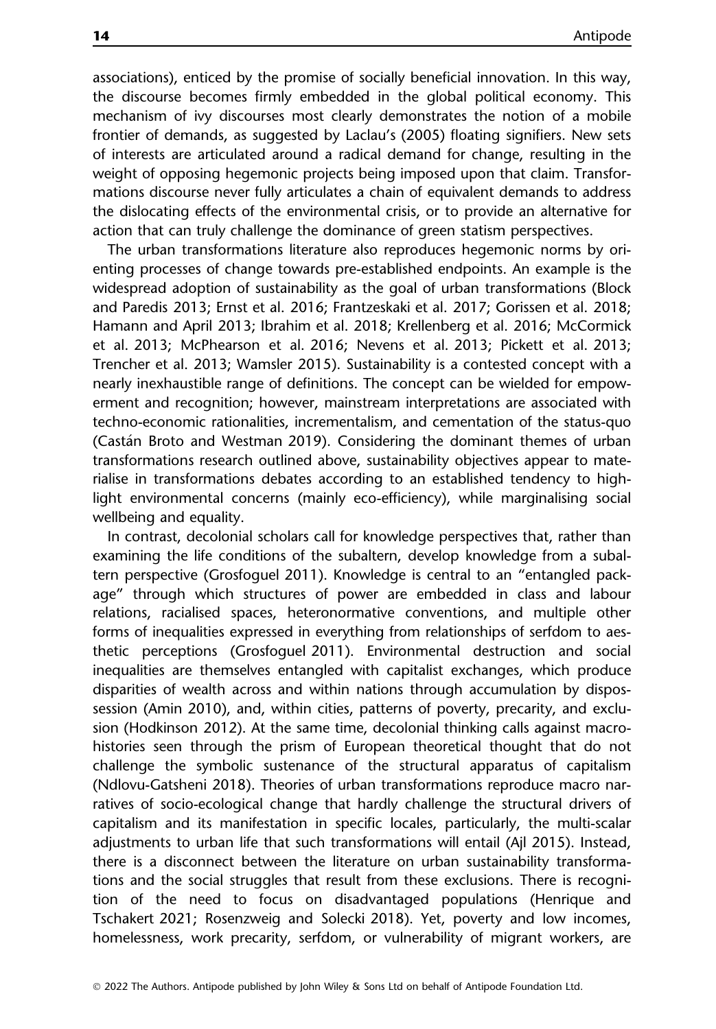associations), enticed by the promise of socially beneficial innovation. In this way, the discourse becomes firmly embedded in the global political economy. This mechanism of ivy discourses most clearly demonstrates the notion of a mobile frontier of demands, as suggested by Laclau's (2005) floating signifiers. New sets of interests are articulated around a radical demand for change, resulting in the weight of opposing hegemonic projects being imposed upon that claim. Transformations discourse never fully articulates a chain of equivalent demands to address the dislocating effects of the environmental crisis, or to provide an alternative for action that can truly challenge the dominance of green statism perspectives.

The urban transformations literature also reproduces hegemonic norms by orienting processes of change towards pre-established endpoints. An example is the widespread adoption of sustainability as the goal of urban transformations (Block and Paredis 2013; Ernst et al. 2016; Frantzeskaki et al. 2017; Gorissen et al. 2018; Hamann and April 2013; Ibrahim et al. 2018; Krellenberg et al. 2016; McCormick et al. 2013; McPhearson et al. 2016; Nevens et al. 2013; Pickett et al. 2013; Trencher et al. 2013; Wamsler 2015). Sustainability is a contested concept with a nearly inexhaustible range of definitions. The concept can be wielded for empowerment and recognition; however, mainstream interpretations are associated with techno-economic rationalities, incrementalism, and cementation of the status-quo (Castan Broto and Westman 2019). Considering the dominant themes of urban transformations research outlined above, sustainability objectives appear to materialise in transformations debates according to an established tendency to highlight environmental concerns (mainly eco-efficiency), while marginalising social wellbeing and equality.

In contrast, decolonial scholars call for knowledge perspectives that, rather than examining the life conditions of the subaltern, develop knowledge from a subaltern perspective (Grosfoguel 2011). Knowledge is central to an "entangled package" through which structures of power are embedded in class and labour relations, racialised spaces, heteronormative conventions, and multiple other forms of inequalities expressed in everything from relationships of serfdom to aesthetic perceptions (Grosfoguel 2011). Environmental destruction and social inequalities are themselves entangled with capitalist exchanges, which produce disparities of wealth across and within nations through accumulation by dispossession (Amin 2010), and, within cities, patterns of poverty, precarity, and exclusion (Hodkinson 2012). At the same time, decolonial thinking calls against macrohistories seen through the prism of European theoretical thought that do not challenge the symbolic sustenance of the structural apparatus of capitalism (Ndlovu-Gatsheni 2018). Theories of urban transformations reproduce macro narratives of socio-ecological change that hardly challenge the structural drivers of capitalism and its manifestation in specific locales, particularly, the multi-scalar adjustments to urban life that such transformations will entail (Ajl 2015). Instead, there is a disconnect between the literature on urban sustainability transformations and the social struggles that result from these exclusions. There is recognition of the need to focus on disadvantaged populations (Henrique and Tschakert 2021; Rosenzweig and Solecki 2018). Yet, poverty and low incomes, homelessness, work precarity, serfdom, or vulnerability of migrant workers, are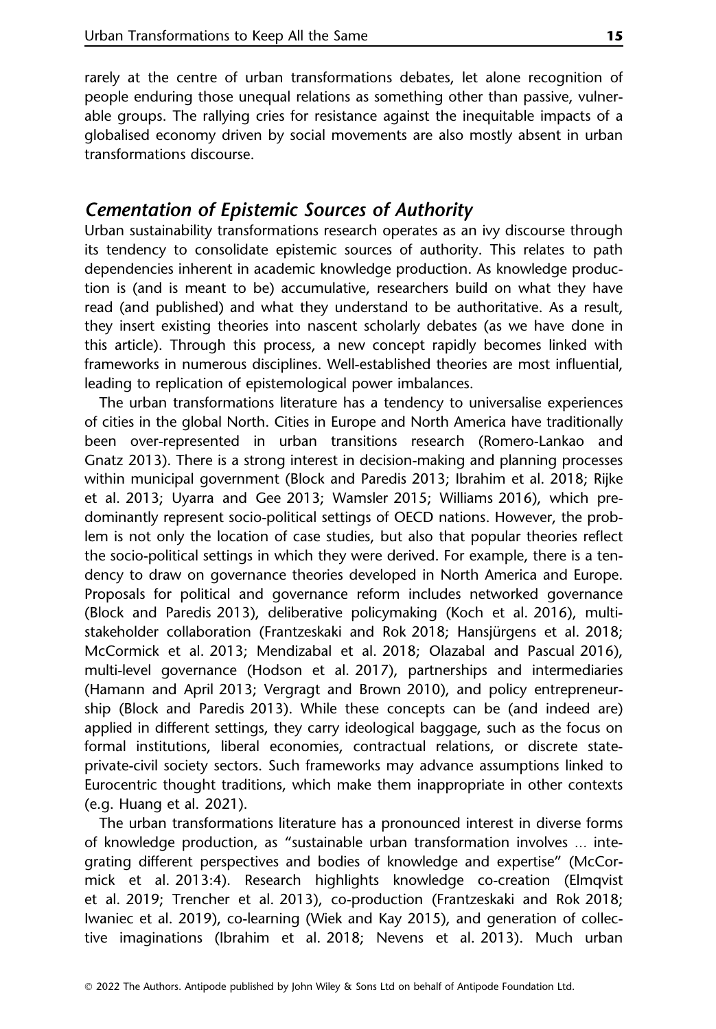rarely at the centre of urban transformations debates, let alone recognition of people enduring those unequal relations as something other than passive, vulnerable groups. The rallying cries for resistance against the inequitable impacts of a globalised economy driven by social movements are also mostly absent in urban transformations discourse.

# Cementation of Epistemic Sources of Authority

Urban sustainability transformations research operates as an ivy discourse through its tendency to consolidate epistemic sources of authority. This relates to path dependencies inherent in academic knowledge production. As knowledge production is (and is meant to be) accumulative, researchers build on what they have read (and published) and what they understand to be authoritative. As a result, they insert existing theories into nascent scholarly debates (as we have done in this article). Through this process, a new concept rapidly becomes linked with frameworks in numerous disciplines. Well-established theories are most influential, leading to replication of epistemological power imbalances.

The urban transformations literature has a tendency to universalise experiences of cities in the global North. Cities in Europe and North America have traditionally been over-represented in urban transitions research (Romero-Lankao and Gnatz 2013). There is a strong interest in decision-making and planning processes within municipal government (Block and Paredis 2013; Ibrahim et al. 2018; Rijke et al. 2013; Uyarra and Gee 2013; Wamsler 2015; Williams 2016), which predominantly represent socio-political settings of OECD nations. However, the problem is not only the location of case studies, but also that popular theories reflect the socio-political settings in which they were derived. For example, there is a tendency to draw on governance theories developed in North America and Europe. Proposals for political and governance reform includes networked governance (Block and Paredis 2013), deliberative policymaking (Koch et al. 2016), multistakeholder collaboration (Frantzeskaki and Rok 2018; Hansjürgens et al. 2018; McCormick et al. 2013; Mendizabal et al. 2018; Olazabal and Pascual 2016), multi-level governance (Hodson et al. 2017), partnerships and intermediaries (Hamann and April 2013; Vergragt and Brown 2010), and policy entrepreneurship (Block and Paredis 2013). While these concepts can be (and indeed are) applied in different settings, they carry ideological baggage, such as the focus on formal institutions, liberal economies, contractual relations, or discrete stateprivate-civil society sectors. Such frameworks may advance assumptions linked to Eurocentric thought traditions, which make them inappropriate in other contexts (e.g. Huang et al. 2021).

The urban transformations literature has a pronounced interest in diverse forms of knowledge production, as "sustainable urban transformation involves ... integrating different perspectives and bodies of knowledge and expertise" (McCormick et al. 2013:4). Research highlights knowledge co-creation (Elmqvist et al. 2019; Trencher et al. 2013), co-production (Frantzeskaki and Rok 2018; Iwaniec et al. 2019), co-learning (Wiek and Kay 2015), and generation of collective imaginations (Ibrahim et al. 2018; Nevens et al. 2013). Much urban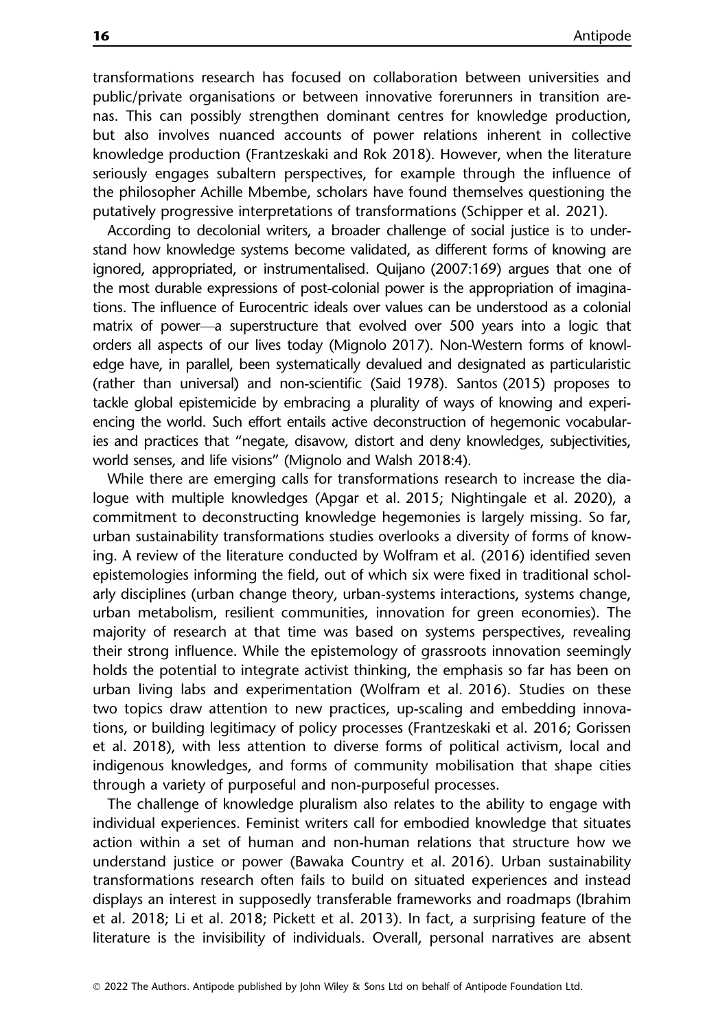transformations research has focused on collaboration between universities and public/private organisations or between innovative forerunners in transition arenas. This can possibly strengthen dominant centres for knowledge production, but also involves nuanced accounts of power relations inherent in collective knowledge production (Frantzeskaki and Rok 2018). However, when the literature seriously engages subaltern perspectives, for example through the influence of the philosopher Achille Mbembe, scholars have found themselves questioning the putatively progressive interpretations of transformations (Schipper et al. 2021).

According to decolonial writers, a broader challenge of social justice is to understand how knowledge systems become validated, as different forms of knowing are ignored, appropriated, or instrumentalised. Quijano (2007:169) argues that one of the most durable expressions of post-colonial power is the appropriation of imaginations. The influence of Eurocentric ideals over values can be understood as a colonial matrix of power—a superstructure that evolved over 500 years into a logic that orders all aspects of our lives today (Mignolo 2017). Non-Western forms of knowledge have, in parallel, been systematically devalued and designated as particularistic (rather than universal) and non-scientific (Said 1978). Santos (2015) proposes to tackle global epistemicide by embracing a plurality of ways of knowing and experiencing the world. Such effort entails active deconstruction of hegemonic vocabularies and practices that "negate, disavow, distort and deny knowledges, subjectivities, world senses, and life visions" (Mignolo and Walsh 2018:4).

While there are emerging calls for transformations research to increase the dialogue with multiple knowledges (Apgar et al. 2015; Nightingale et al. 2020), a commitment to deconstructing knowledge hegemonies is largely missing. So far, urban sustainability transformations studies overlooks a diversity of forms of knowing. A review of the literature conducted by Wolfram et al. (2016) identified seven epistemologies informing the field, out of which six were fixed in traditional scholarly disciplines (urban change theory, urban-systems interactions, systems change, urban metabolism, resilient communities, innovation for green economies). The majority of research at that time was based on systems perspectives, revealing their strong influence. While the epistemology of grassroots innovation seemingly holds the potential to integrate activist thinking, the emphasis so far has been on urban living labs and experimentation (Wolfram et al. 2016). Studies on these two topics draw attention to new practices, up-scaling and embedding innovations, or building legitimacy of policy processes (Frantzeskaki et al. 2016; Gorissen et al. 2018), with less attention to diverse forms of political activism, local and indigenous knowledges, and forms of community mobilisation that shape cities through a variety of purposeful and non-purposeful processes.

The challenge of knowledge pluralism also relates to the ability to engage with individual experiences. Feminist writers call for embodied knowledge that situates action within a set of human and non-human relations that structure how we understand justice or power (Bawaka Country et al. 2016). Urban sustainability transformations research often fails to build on situated experiences and instead displays an interest in supposedly transferable frameworks and roadmaps (Ibrahim et al. 2018; Li et al. 2018; Pickett et al. 2013). In fact, a surprising feature of the literature is the invisibility of individuals. Overall, personal narratives are absent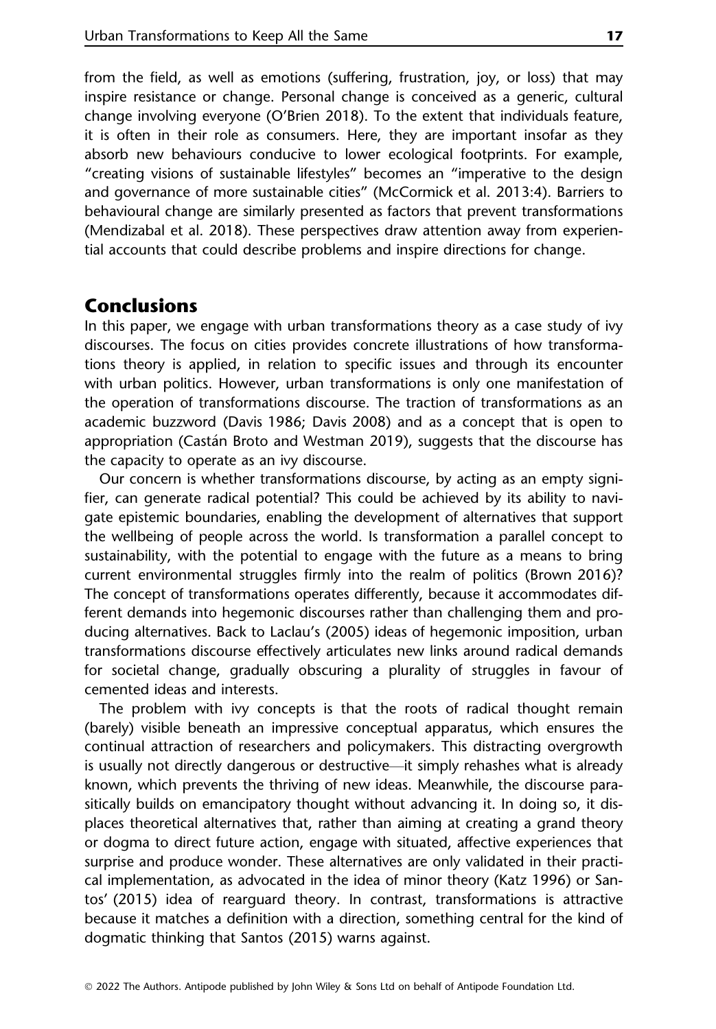from the field, as well as emotions (suffering, frustration, joy, or loss) that may inspire resistance or change. Personal change is conceived as a generic, cultural change involving everyone (O'Brien 2018). To the extent that individuals feature, it is often in their role as consumers. Here, they are important insofar as they absorb new behaviours conducive to lower ecological footprints. For example, "creating visions of sustainable lifestyles" becomes an "imperative to the design and governance of more sustainable cities" (McCormick et al. 2013:4). Barriers to behavioural change are similarly presented as factors that prevent transformations (Mendizabal et al. 2018). These perspectives draw attention away from experiential accounts that could describe problems and inspire directions for change.

# Conclusions

In this paper, we engage with urban transformations theory as a case study of ivy discourses. The focus on cities provides concrete illustrations of how transformations theory is applied, in relation to specific issues and through its encounter with urban politics. However, urban transformations is only one manifestation of the operation of transformations discourse. The traction of transformations as an academic buzzword (Davis 1986; Davis 2008) and as a concept that is open to appropriation (Castan Broto and Westman 2019), suggests that the discourse has the capacity to operate as an ivy discourse.

Our concern is whether transformations discourse, by acting as an empty signifier, can generate radical potential? This could be achieved by its ability to navigate epistemic boundaries, enabling the development of alternatives that support the wellbeing of people across the world. Is transformation a parallel concept to sustainability, with the potential to engage with the future as a means to bring current environmental struggles firmly into the realm of politics (Brown 2016)? The concept of transformations operates differently, because it accommodates different demands into hegemonic discourses rather than challenging them and producing alternatives. Back to Laclau's (2005) ideas of hegemonic imposition, urban transformations discourse effectively articulates new links around radical demands for societal change, gradually obscuring a plurality of struggles in favour of cemented ideas and interests.

The problem with ivy concepts is that the roots of radical thought remain (barely) visible beneath an impressive conceptual apparatus, which ensures the continual attraction of researchers and policymakers. This distracting overgrowth is usually not directly dangerous or destructive—it simply rehashes what is already known, which prevents the thriving of new ideas. Meanwhile, the discourse parasitically builds on emancipatory thought without advancing it. In doing so, it displaces theoretical alternatives that, rather than aiming at creating a grand theory or dogma to direct future action, engage with situated, affective experiences that surprise and produce wonder. These alternatives are only validated in their practical implementation, as advocated in the idea of minor theory (Katz 1996) or Santos' (2015) idea of rearguard theory. In contrast, transformations is attractive because it matches a definition with a direction, something central for the kind of dogmatic thinking that Santos (2015) warns against.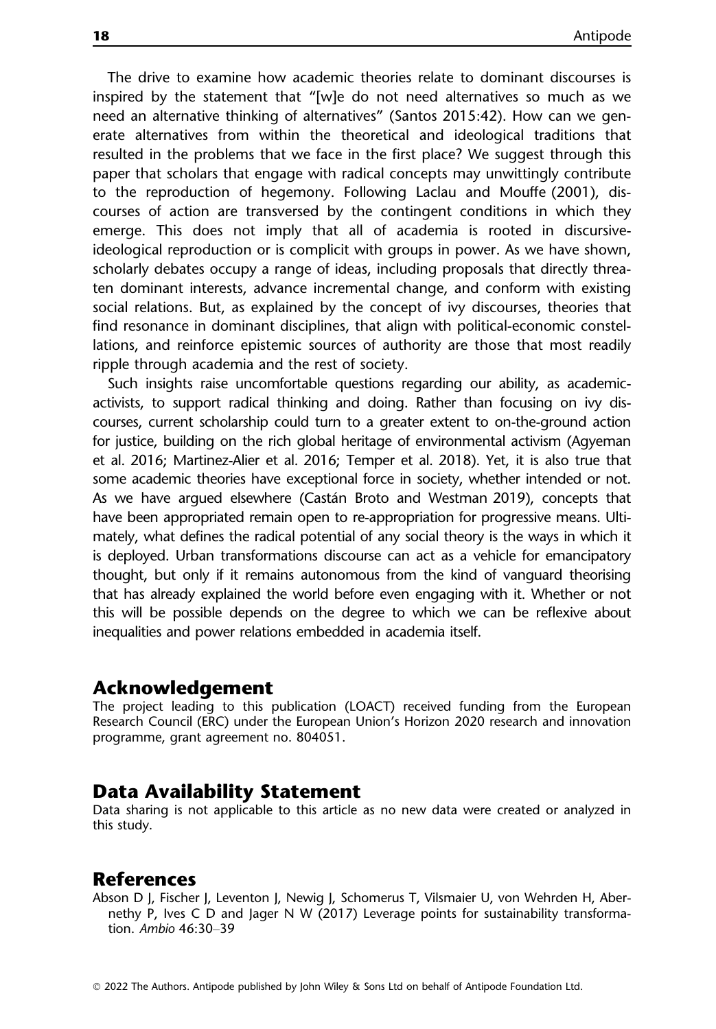The drive to examine how academic theories relate to dominant discourses is inspired by the statement that "[w]e do not need alternatives so much as we need an alternative thinking of alternatives" (Santos 2015:42). How can we generate alternatives from within the theoretical and ideological traditions that resulted in the problems that we face in the first place? We suggest through this paper that scholars that engage with radical concepts may unwittingly contribute to the reproduction of hegemony. Following Laclau and Mouffe (2001), discourses of action are transversed by the contingent conditions in which they emerge. This does not imply that all of academia is rooted in discursiveideological reproduction or is complicit with groups in power. As we have shown, scholarly debates occupy a range of ideas, including proposals that directly threaten dominant interests, advance incremental change, and conform with existing social relations. But, as explained by the concept of ivy discourses, theories that find resonance in dominant disciplines, that align with political-economic constellations, and reinforce epistemic sources of authority are those that most readily ripple through academia and the rest of society.

Such insights raise uncomfortable questions regarding our ability, as academicactivists, to support radical thinking and doing. Rather than focusing on ivy discourses, current scholarship could turn to a greater extent to on-the-ground action for justice, building on the rich global heritage of environmental activism (Agyeman et al. 2016; Martinez-Alier et al. 2016; Temper et al. 2018). Yet, it is also true that some academic theories have exceptional force in society, whether intended or not. As we have argued elsewhere (Castan Broto and Westman 2019), concepts that have been appropriated remain open to re-appropriation for progressive means. Ultimately, what defines the radical potential of any social theory is the ways in which it is deployed. Urban transformations discourse can act as a vehicle for emancipatory thought, but only if it remains autonomous from the kind of vanguard theorising that has already explained the world before even engaging with it. Whether or not this will be possible depends on the degree to which we can be reflexive about inequalities and power relations embedded in academia itself.

#### Acknowledgement

The project leading to this publication (LOACT) received funding from the European Research Council (ERC) under the European Union's Horizon 2020 research and innovation programme, grant agreement no. 804051.

#### Data Availability Statement

Data sharing is not applicable to this article as no new data were created or analyzed in this study.

#### **References**

Abson D J, Fischer J, Leventon J, Newig J, Schomerus T, Vilsmaier U, von Wehrden H, Abernethy P, Ives C D and Jager N W (2017) Leverage points for sustainability transformation. Ambio 46:30–39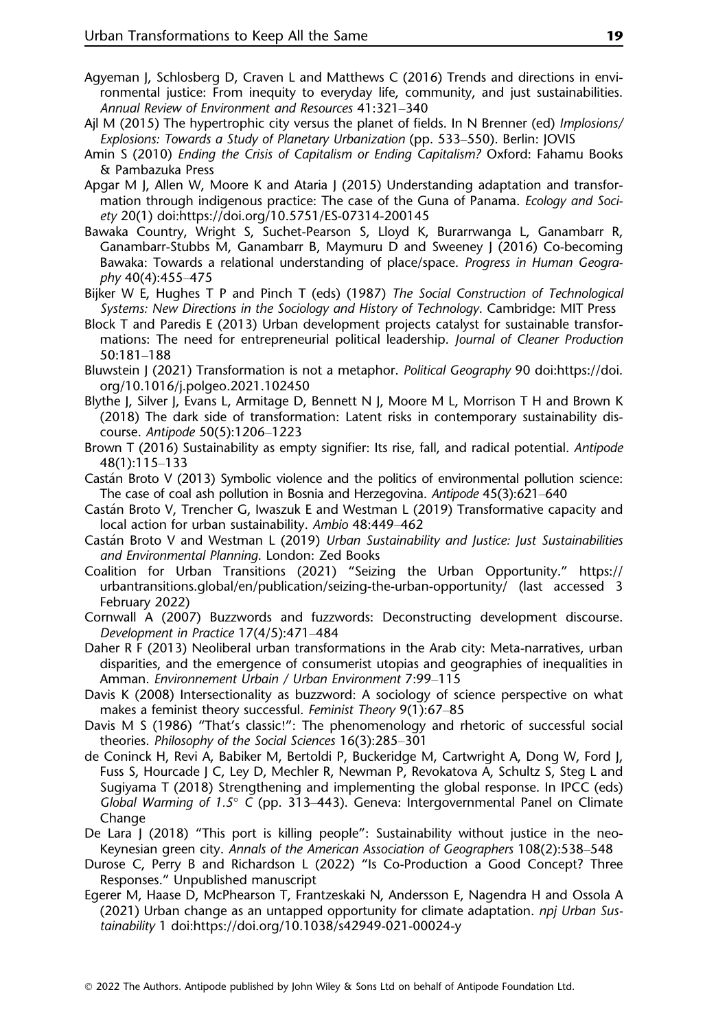- Agyeman J, Schlosberg D, Craven L and Matthews C (2016) Trends and directions in environmental justice: From inequity to everyday life, community, and just sustainabilities. Annual Review of Environment and Resources 41:321–340
- Ajl M (2015) The hypertrophic city versus the planet of fields. In N Brenner (ed) Implosions/ Explosions: Towards a Study of Planetary Urbanization (pp. 533–550). Berlin: JOVIS
- Amin S (2010) Ending the Crisis of Capitalism or Ending Capitalism? Oxford: Fahamu Books & Pambazuka Press
- Apgar M J, Allen W, Moore K and Ataria J (2015) Understanding adaptation and transformation through indigenous practice: The case of the Guna of Panama. *Ecology and Soci*ety 20(1) doi[:https://doi.org/10.5751/ES-07314-200145](https://doi.org/10.5751/ES-07314-200145)
- Bawaka Country, Wright S, Suchet-Pearson S, Lloyd K, Burarrwanga L, Ganambarr R, Ganambarr-Stubbs M, Ganambarr B, Maymuru D and Sweeney J (2016) Co-becoming Bawaka: Towards a relational understanding of place/space. Progress in Human Geography 40(4):455–475
- Bijker W E, Hughes T P and Pinch T (eds) (1987) The Social Construction of Technological Systems: New Directions in the Sociology and History of Technology. Cambridge: MIT Press
- Block T and Paredis E (2013) Urban development projects catalyst for sustainable transformations: The need for entrepreneurial political leadership. Journal of Cleaner Production 50:181–188
- Bluwstein J (2021) Transformation is not a metaphor. Political Geography 90 doi[:https://doi.](https://doi.org/10.1016/j.polgeo.2021.102450) [org/10.1016/j.polgeo.2021.102450](https://doi.org/10.1016/j.polgeo.2021.102450)
- Blythe J, Silver J, Evans L, Armitage D, Bennett N J, Moore M L, Morrison T H and Brown K (2018) The dark side of transformation: Latent risks in contemporary sustainability discourse. Antipode 50(5):1206–1223
- Brown T (2016) Sustainability as empty signifier: Its rise, fall, and radical potential. Antipode 48(1):115–133
- Castan Broto V (2013) Symbolic violence and the politics of environmental pollution science: The case of coal ash pollution in Bosnia and Herzegovina. Antipode 45(3):621-640
- Castan Broto V, Trencher G, Iwaszuk E and Westman L (2019) Transformative capacity and local action for urban sustainability. Ambio 48:449–462
- Castán Broto V and Westman L (2019) Urban Sustainability and Justice: Just Sustainabilities and Environmental Planning. London: Zed Books
- Coalition for Urban Transitions (2021) "Seizing the Urban Opportunity." [https://](https://urbantransitions.global/en/publication/seizing-the-urban-opportunity/) [urbantransitions.global/en/publication/seizing-the-urban-opportunity/](https://urbantransitions.global/en/publication/seizing-the-urban-opportunity/) (last accessed 3 February 2022)
- Cornwall A (2007) Buzzwords and fuzzwords: Deconstructing development discourse. Development in Practice 17(4/5):471–484
- Daher R F (2013) Neoliberal urban transformations in the Arab city: Meta-narratives, urban disparities, and the emergence of consumerist utopias and geographies of inequalities in Amman. Environnement Urbain / Urban Environment 7:99–115
- Davis K (2008) Intersectionality as buzzword: A sociology of science perspective on what makes a feminist theory successful. Feminist Theory 9(1):67-85
- Davis M S (1986) "That's classic!": The phenomenology and rhetoric of successful social theories. Philosophy of the Social Sciences 16(3):285–301
- de Coninck H, Revi A, Babiker M, Bertoldi P, Buckeridge M, Cartwright A, Dong W, Ford J, Fuss S, Hourcade J C, Ley D, Mechler R, Newman P, Revokatova A, Schultz S, Steg L and Sugiyama T (2018) Strengthening and implementing the global response. In IPCC (eds) Global Warming of 1.5° C (pp. 313–443). Geneva: Intergovernmental Panel on Climate Change
- De Lara J (2018) "This port is killing people": Sustainability without justice in the neo-Keynesian green city. Annals of the American Association of Geographers 108(2):538–548
- Durose C, Perry B and Richardson L (2022) "Is Co-Production a Good Concept? Three Responses." Unpublished manuscript
- Egerer M, Haase D, McPhearson T, Frantzeskaki N, Andersson E, Nagendra H and Ossola A  $(2021)$  Urban change as an untapped opportunity for climate adaptation. *npj Urban Sus*tainability 1 doi:<https://doi.org/10.1038/s42949-021-00024-y>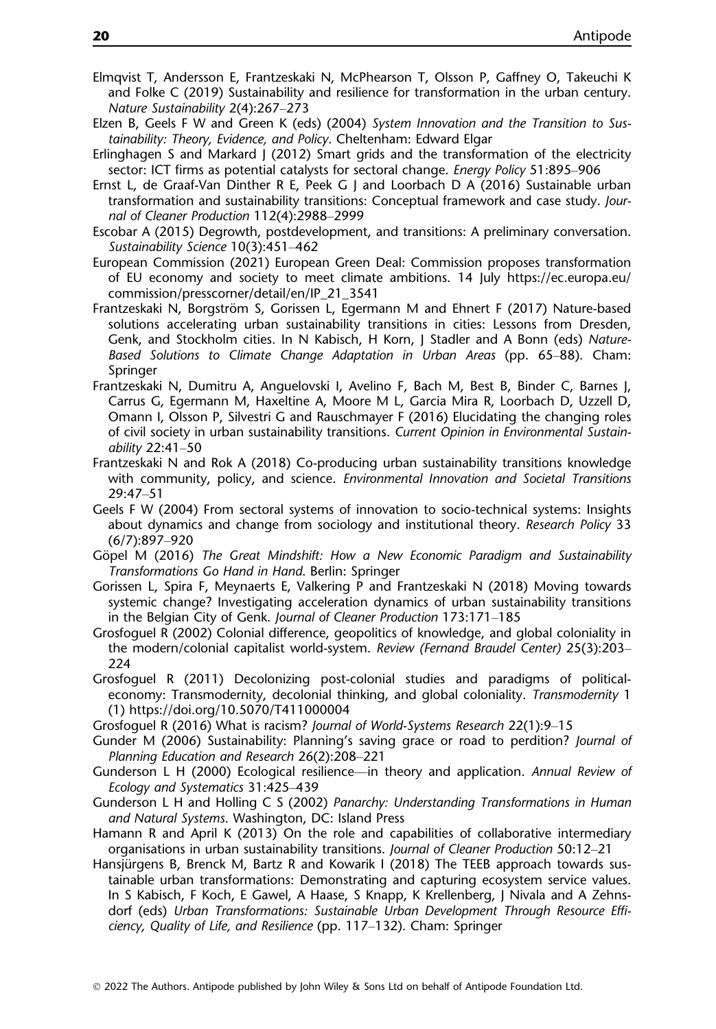- Elmqvist T, Andersson E, Frantzeskaki N, McPhearson T, Olsson P, Gaffney O, Takeuchi K and Folke C (2019) Sustainability and resilience for transformation in the urban century. Nature Sustainability 2(4):267–273
- Elzen B, Geels F W and Green K (eds) (2004) System Innovation and the Transition to Sustainability: Theory, Evidence, and Policy. Cheltenham: Edward Elgar
- Erlinghagen S and Markard J (2012) Smart grids and the transformation of the electricity sector: ICT firms as potential catalysts for sectoral change. Energy Policy 51:895–906
- Ernst L, de Graaf-Van Dinther R E, Peek G J and Loorbach D A (2016) Sustainable urban transformation and sustainability transitions: Conceptual framework and case study. Journal of Cleaner Production 112(4):2988–2999
- Escobar A (2015) Degrowth, postdevelopment, and transitions: A preliminary conversation. Sustainability Science 10(3):451–462
- European Commission (2021) European Green Deal: Commission proposes transformation of EU economy and society to meet climate ambitions. 14 July [https://ec.europa.eu/](https://ec.europa.eu/commission/presscorner/detail/en/IP_21_3541) [commission/presscorner/detail/en/IP\\_21\\_3541](https://ec.europa.eu/commission/presscorner/detail/en/IP_21_3541)
- Frantzeskaki N, Borgström S, Gorissen L, Egermann M and Ehnert F (2017) Nature-based solutions accelerating urban sustainability transitions in cities: Lessons from Dresden, Genk, and Stockholm cities. In N Kabisch, H Korn, J Stadler and A Bonn (eds) Nature-Based Solutions to Climate Change Adaptation in Urban Areas (pp. 65–88). Cham: Springer
- Frantzeskaki N, Dumitru A, Anguelovski I, Avelino F, Bach M, Best B, Binder C, Barnes J, Carrus G, Egermann M, Haxeltine A, Moore M L, Garcia Mira R, Loorbach D, Uzzell D, Omann I, Olsson P, Silvestri G and Rauschmayer F (2016) Elucidating the changing roles of civil society in urban sustainability transitions. Current Opinion in Environmental Sustainability 22:41–50
- Frantzeskaki N and Rok A (2018) Co-producing urban sustainability transitions knowledge with community, policy, and science. Environmental Innovation and Societal Transitions 29:47–51
- Geels F W (2004) From sectoral systems of innovation to socio-technical systems: Insights about dynamics and change from sociology and institutional theory. Research Policy 33 (6/7):897–920
- Göpel M (2016) The Great Mindshift: How a New Economic Paradigm and Sustainability Transformations Go Hand in Hand. Berlin: Springer
- Gorissen L, Spira F, Meynaerts E, Valkering P and Frantzeskaki N (2018) Moving towards systemic change? Investigating acceleration dynamics of urban sustainability transitions in the Belgian City of Genk. Journal of Cleaner Production 173:171–185
- Grosfoguel R (2002) Colonial difference, geopolitics of knowledge, and global coloniality in the modern/colonial capitalist world-system. Review (Fernand Braudel Center) 25(3):203– 224
- Grosfoguel R (2011) Decolonizing post-colonial studies and paradigms of politicaleconomy: Transmodernity, decolonial thinking, and global coloniality. Transmodernity 1 (1)<https://doi.org/10.5070/T411000004>
- Grosfoguel R (2016) What is racism? Journal of World-Systems Research 22(1):9–15
- Gunder M (2006) Sustainability: Planning's saving grace or road to perdition? Journal of Planning Education and Research 26(2):208–221
- Gunderson L H (2000) Ecological resilience—in theory and application. Annual Review of Ecology and Systematics 31:425–439
- Gunderson L H and Holling C S (2002) Panarchy: Understanding Transformations in Human and Natural Systems. Washington, DC: Island Press
- Hamann R and April K (2013) On the role and capabilities of collaborative intermediary organisations in urban sustainability transitions. Journal of Cleaner Production 50:12–21
- Hansjürgens B, Brenck M, Bartz R and Kowarik I (2018) The TEEB approach towards sustainable urban transformations: Demonstrating and capturing ecosystem service values. In S Kabisch, F Koch, E Gawel, A Haase, S Knapp, K Krellenberg, J Nivala and A Zehnsdorf (eds) Urban Transformations: Sustainable Urban Development Through Resource Efficiency, Quality of Life, and Resilience (pp. 117–132). Cham: Springer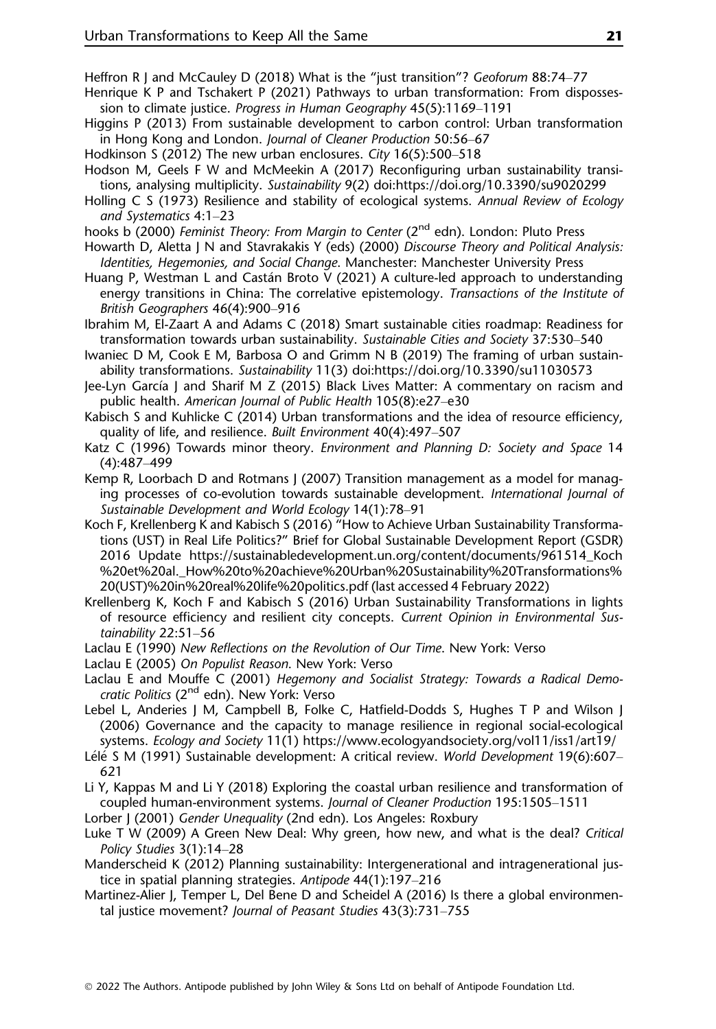- Heffron R | and McCauley D (2018) What is the "just transition"? Geoforum 88:74–77
- Henrique K P and Tschakert P (2021) Pathways to urban transformation: From dispossession to climate justice. Progress in Human Geography 45(5):1169–1191
- Higgins P (2013) From sustainable development to carbon control: Urban transformation in Hong Kong and London. Journal of Cleaner Production 50:56–67
- Hodkinson S (2012) The new urban enclosures. City 16(5):500–518
- Hodson M, Geels F W and McMeekin A (2017) Reconfiguring urban sustainability transitions, analysing multiplicity. Sustainability 9(2) doi[:https://doi.org/10.3390/su9020299](https://doi.org/10.3390/su9020299)
- Holling C S (1973) Resilience and stability of ecological systems. Annual Review of Ecology and Systematics 4:1–23
- hooks b (2000) *Feminist Theory: From Margin to Center* (2<sup>nd</sup> edn). London: Pluto Press
- Howarth D, Aletta J N and Stavrakakis Y (eds) (2000) Discourse Theory and Political Analysis: Identities, Hegemonies, and Social Change. Manchester: Manchester University Press
- Huang P, Westman L and Castan Broto V (2021) A culture-led approach to understanding energy transitions in China: The correlative epistemology. Transactions of the Institute of British Geographers 46(4):900–916
- Ibrahim M, El-Zaart A and Adams C (2018) Smart sustainable cities roadmap: Readiness for transformation towards urban sustainability. Sustainable Cities and Society 37:530–540
- Iwaniec D M, Cook E M, Barbosa O and Grimm N B (2019) The framing of urban sustainability transformations. Sustainability 11(3) doi:<https://doi.org/10.3390/su11030573>
- Jee-Lyn Garcıa J and Sharif M Z (2015) Black Lives Matter: A commentary on racism and public health. American Journal of Public Health 105(8):e27–e30
- Kabisch S and Kuhlicke C (2014) Urban transformations and the idea of resource efficiency, quality of life, and resilience. Built Environment 40(4):497–507
- Katz C (1996) Towards minor theory. Environment and Planning D: Society and Space 14 (4):487–499
- Kemp R, Loorbach D and Rotmans J (2007) Transition management as a model for managing processes of co-evolution towards sustainable development. International Journal of Sustainable Development and World Ecology 14(1):78–91
- Koch F, Krellenberg K and Kabisch S (2016) "How to Achieve Urban Sustainability Transformations (UST) in Real Life Politics?" Brief for Global Sustainable Development Report (GSDR) 2016 Update [https://sustainabledevelopment.un.org/content/documents/961514\\_Koch](https://sustainabledevelopment.un.org/content/documents/961514_Koch%20et%20al._How%20to%20achieve%20Urban%20Sustainability%20Transformations%20(UST)%20in%20real%20life%20politics.pdf) %20et%20al. How%20to%20achieve%20Urban%20Sustainability%20Transformations% [20\(UST\)%20in%20real%20life%20politics.pdf](https://sustainabledevelopment.un.org/content/documents/961514_Koch%20et%20al._How%20to%20achieve%20Urban%20Sustainability%20Transformations%20(UST)%20in%20real%20life%20politics.pdf) (last accessed 4 February 2022)
- Krellenberg K, Koch F and Kabisch S (2016) Urban Sustainability Transformations in lights of resource efficiency and resilient city concepts. Current Opinion in Environmental Sustainability 22:51–56
- Laclau E (1990) New Reflections on the Revolution of Our Time. New York: Verso
- Laclau E (2005) On Populist Reason. New York: Verso
- Laclau E and Mouffe C (2001) Hegemony and Socialist Strategy: Towards a Radical Democratic Politics (2<sup>nd</sup> edn). New York: Verso
- Lebel L, Anderies J M, Campbell B, Folke C, Hatfield-Dodds S, Hughes T P and Wilson J (2006) Governance and the capacity to manage resilience in regional social-ecological systems. Ecology and Society 11(1)<https://www.ecologyandsociety.org/vol11/iss1/art19/>
- Lélé S M (1991) Sustainable development: A critical review. World Development 19(6):607-621
- Li Y, Kappas M and Li Y (2018) Exploring the coastal urban resilience and transformation of coupled human-environment systems. Journal of Cleaner Production 195:1505–1511
- Lorber J (2001) Gender Unequality (2nd edn). Los Angeles: Roxbury
- Luke T W (2009) A Green New Deal: Why green, how new, and what is the deal? Critical Policy Studies 3(1):14–28
- Manderscheid K (2012) Planning sustainability: Intergenerational and intragenerational justice in spatial planning strategies. Antipode 44(1):197–216
- Martinez-Alier I, Temper L, Del Bene D and Scheidel A (2016) Is there a global environmental justice movement? Journal of Peasant Studies 43(3):731–755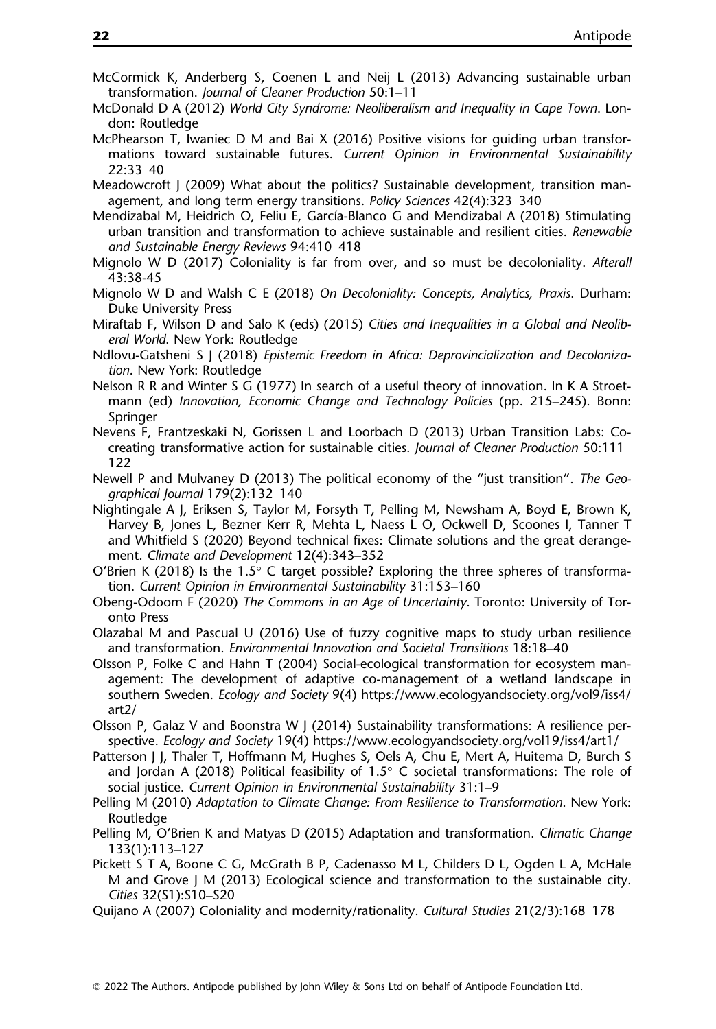- McCormick K, Anderberg S, Coenen L and Neij L (2013) Advancing sustainable urban transformation. Journal of Cleaner Production 50:1–11
- McDonald D A (2012) World City Syndrome: Neoliberalism and Inequality in Cape Town. London: Routledge
- McPhearson T, Iwaniec D M and Bai X (2016) Positive visions for guiding urban transformations toward sustainable futures. Current Opinion in Environmental Sustainability 22:33–40
- Meadowcroft J (2009) What about the politics? Sustainable development, transition management, and long term energy transitions. Policy Sciences 42(4):323–340
- Mendizabal M, Heidrich O, Feliu E, García-Blanco G and Mendizabal A (2018) Stimulating urban transition and transformation to achieve sustainable and resilient cities. Renewable and Sustainable Energy Reviews 94:410–418
- Mignolo W D (2017) Coloniality is far from over, and so must be decoloniality. Afterall 43:38-45
- Mignolo W D and Walsh C E (2018) On Decoloniality: Concepts, Analytics, Praxis. Durham: Duke University Press
- Miraftab F, Wilson D and Salo K (eds) (2015) Cities and Inequalities in a Global and Neoliberal World. New York: Routledge
- Ndlovu-Gatsheni S J (2018) Epistemic Freedom in Africa: Deprovincialization and Decolonization. New York: Routledge
- Nelson R R and Winter S G (1977) In search of a useful theory of innovation. In K A Stroetmann (ed) Innovation, Economic Change and Technology Policies (pp. 215–245). Bonn: Springer
- Nevens F, Frantzeskaki N, Gorissen L and Loorbach D (2013) Urban Transition Labs: Cocreating transformative action for sustainable cities. Journal of Cleaner Production 50:111– 122
- Newell P and Mulvaney D (2013) The political economy of the "just transition". The Geographical Journal 179(2):132–140
- Nightingale A J, Eriksen S, Taylor M, Forsyth T, Pelling M, Newsham A, Boyd E, Brown K, Harvey B, Jones L, Bezner Kerr R, Mehta L, Naess L O, Ockwell D, Scoones I, Tanner T and Whitfield S (2020) Beyond technical fixes: Climate solutions and the great derangement. Climate and Development 12(4):343–352
- O'Brien K (2018) Is the 1.5 $\degree$  C target possible? Exploring the three spheres of transformation. Current Opinion in Environmental Sustainability 31:153–160
- Obeng-Odoom F (2020) The Commons in an Age of Uncertainty. Toronto: University of Toronto Press
- Olazabal M and Pascual U (2016) Use of fuzzy cognitive maps to study urban resilience and transformation. Environmental Innovation and Societal Transitions 18:18–40
- Olsson P, Folke C and Hahn T (2004) Social-ecological transformation for ecosystem management: The development of adaptive co-management of a wetland landscape in southern Sweden. Ecology and Society 9(4) [https://www.ecologyandsociety.org/vol9/iss4/](https://www.ecologyandsociety.org/vol9/iss4/art2/) [art2/](https://www.ecologyandsociety.org/vol9/iss4/art2/)
- Olsson P, Galaz V and Boonstra W J (2014) Sustainability transformations: A resilience perspective. Ecology and Society 19(4)<https://www.ecologyandsociety.org/vol19/iss4/art1/>
- Patterson J J, Thaler T, Hoffmann M, Hughes S, Oels A, Chu E, Mert A, Huitema D, Burch S and Jordan A (2018) Political feasibility of  $1.5^{\circ}$  C societal transformations: The role of social justice. Current Opinion in Environmental Sustainability 31:1–9
- Pelling M (2010) Adaptation to Climate Change: From Resilience to Transformation. New York: Routledge
- Pelling M, O'Brien K and Matyas D (2015) Adaptation and transformation. Climatic Change 133(1):113–127
- Pickett S T A, Boone C G, McGrath B P, Cadenasso M L, Childers D L, Ogden L A, McHale M and Grove J M (2013) Ecological science and transformation to the sustainable city. Cities 32(S1):S10–S20
- Quijano A (2007) Coloniality and modernity/rationality. Cultural Studies 21(2/3):168–178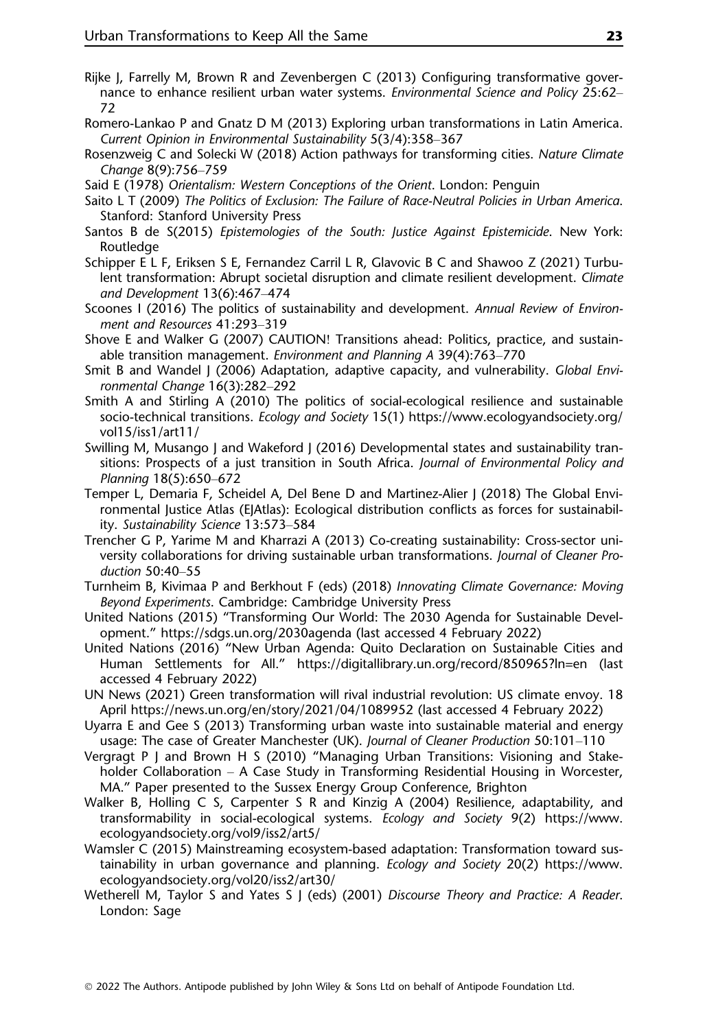- Rijke J, Farrelly M, Brown R and Zevenbergen C (2013) Configuring transformative governance to enhance resilient urban water systems. Environmental Science and Policy 25:62– 72
- Romero-Lankao P and Gnatz D M (2013) Exploring urban transformations in Latin America. Current Opinion in Environmental Sustainability 5(3/4):358–367
- Rosenzweig C and Solecki W (2018) Action pathways for transforming cities. Nature Climate Change 8(9):756–759
- Said E (1978) Orientalism: Western Conceptions of the Orient. London: Penguin
- Saito L T (2009) The Politics of Exclusion: The Failure of Race-Neutral Policies in Urban America. Stanford: Stanford University Press
- Santos B de S(2015) Epistemologies of the South: Justice Against Epistemicide. New York: Routledge
- Schipper E L F, Eriksen S E, Fernandez Carril L R, Glavovic B C and Shawoo Z (2021) Turbulent transformation: Abrupt societal disruption and climate resilient development. Climate and Development 13(6):467–474
- Scoones I (2016) The politics of sustainability and development. Annual Review of Environment and Resources 41:293–319
- Shove E and Walker G (2007) CAUTION! Transitions ahead: Politics, practice, and sustainable transition management. Environment and Planning A 39(4):763–770
- Smit B and Wandel J (2006) Adaptation, adaptive capacity, and vulnerability. Global Environmental Change 16(3):282–292
- Smith A and Stirling A (2010) The politics of social-ecological resilience and sustainable socio-technical transitions. Ecology and Society 15(1) [https://www.ecologyandsociety.org/](https://www.ecologyandsociety.org/vol15/iss1/art11/) [vol15/iss1/art11/](https://www.ecologyandsociety.org/vol15/iss1/art11/)
- Swilling M, Musango J and Wakeford J (2016) Developmental states and sustainability transitions: Prospects of a just transition in South Africa. Journal of Environmental Policy and Planning 18(5):650–672
- Temper L, Demaria F, Scheidel A, Del Bene D and Martinez-Alier J (2018) The Global Environmental Justice Atlas (EJAtlas): Ecological distribution conflicts as forces for sustainability. Sustainability Science 13:573–584
- Trencher G P, Yarime M and Kharrazi A (2013) Co-creating sustainability: Cross-sector university collaborations for driving sustainable urban transformations. Journal of Cleaner Production 50:40–55
- Turnheim B, Kivimaa P and Berkhout F (eds) (2018) Innovating Climate Governance: Moving Beyond Experiments. Cambridge: Cambridge University Press
- United Nations (2015) "Transforming Our World: The 2030 Agenda for Sustainable Development." <https://sdgs.un.org/2030agenda> (last accessed 4 February 2022)
- United Nations (2016) "New Urban Agenda: Quito Declaration on Sustainable Cities and Human Settlements for All." <https://digitallibrary.un.org/record/850965?ln=en> (last accessed 4 February 2022)
- UN News (2021) Green transformation will rival industrial revolution: US climate envoy. 18 April<https://news.un.org/en/story/2021/04/1089952> (last accessed 4 February 2022)
- Uyarra E and Gee S (2013) Transforming urban waste into sustainable material and energy usage: The case of Greater Manchester (UK). Journal of Cleaner Production 50:101–110
- Vergragt P J and Brown H S (2010) "Managing Urban Transitions: Visioning and Stakeholder Collaboration – A Case Study in Transforming Residential Housing in Worcester, MA." Paper presented to the Sussex Energy Group Conference, Brighton
- Walker B, Holling C S, Carpenter S R and Kinzig A (2004) Resilience, adaptability, and transformability in social-ecological systems. Ecology and Society 9(2) [https://www.](https://www.ecologyandsociety.org/vol9/iss2/art5/) [ecologyandsociety.org/vol9/iss2/art5/](https://www.ecologyandsociety.org/vol9/iss2/art5/)
- Wamsler C (2015) Mainstreaming ecosystem-based adaptation: Transformation toward sustainability in urban governance and planning. Ecology and Society 20(2) [https://www.](https://www.ecologyandsociety.org/vol20/iss2/art30/) [ecologyandsociety.org/vol20/iss2/art30/](https://www.ecologyandsociety.org/vol20/iss2/art30/)
- Wetherell M, Taylor S and Yates S J (eds) (2001) Discourse Theory and Practice: A Reader. London: Sage